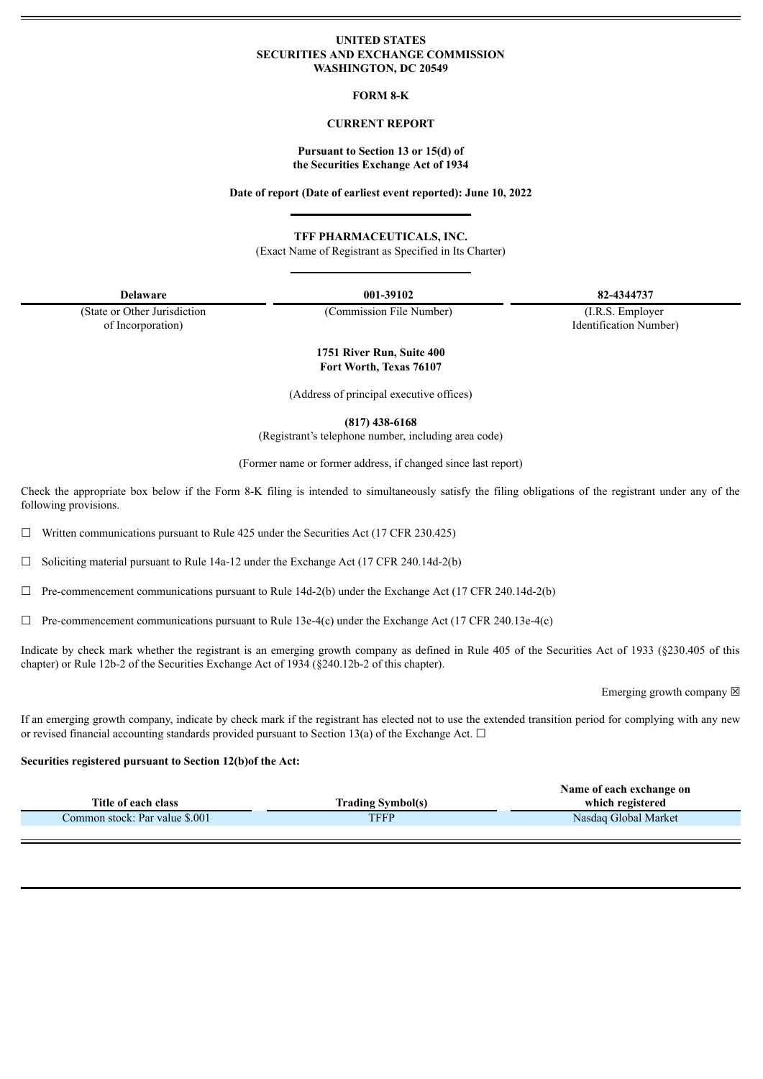### **UNITED STATES SECURITIES AND EXCHANGE COMMISSION WASHINGTON, DC 20549**

#### **FORM 8-K**

# **CURRENT REPORT**

#### **Pursuant to Section 13 or 15(d) of the Securities Exchange Act of 1934**

**Date of report (Date of earliest event reported): June 10, 2022**

**TFF PHARMACEUTICALS, INC.**

(Exact Name of Registrant as Specified in Its Charter)

(State or Other Jurisdiction of Incorporation)

**Delaware 001-39102 82-4344737**

(Commission File Number) (I.R.S. Employer Identification Number)

**1751 River Run, Suite 400 Fort Worth, Texas 76107**

(Address of principal executive offices)

**(817) 438-6168**

(Registrant's telephone number, including area code)

(Former name or former address, if changed since last report)

Check the appropriate box below if the Form 8-K filing is intended to simultaneously satisfy the filing obligations of the registrant under any of the following provisions.

 $\Box$  Written communications pursuant to Rule 425 under the Securities Act (17 CFR 230.425)

 $\Box$  Soliciting material pursuant to Rule 14a-12 under the Exchange Act (17 CFR 240.14d-2(b)

 $\Box$  Pre-commencement communications pursuant to Rule 14d-2(b) under the Exchange Act (17 CFR 240.14d-2(b)

 $\Box$  Pre-commencement communications pursuant to Rule 13e-4(c) under the Exchange Act (17 CFR 240.13e-4(c)

Indicate by check mark whether the registrant is an emerging growth company as defined in Rule 405 of the Securities Act of 1933 (§230.405 of this chapter) or Rule 12b-2 of the Securities Exchange Act of 1934 (§240.12b-2 of this chapter).

Emerging growth company  $\boxtimes$ 

If an emerging growth company, indicate by check mark if the registrant has elected not to use the extended transition period for complying with any new or revised financial accounting standards provided pursuant to Section 13(a) of the Exchange Act.  $\Box$ 

#### **Securities registered pursuant to Section 12(b)of the Act:**

|                                |                          | Name of each exchange on |
|--------------------------------|--------------------------|--------------------------|
| Title of each class            | <b>Trading Symbol(s)</b> | which registered         |
| Common stock: Par value \$.001 | TFFP                     | Nasdag Global Market     |
|                                |                          |                          |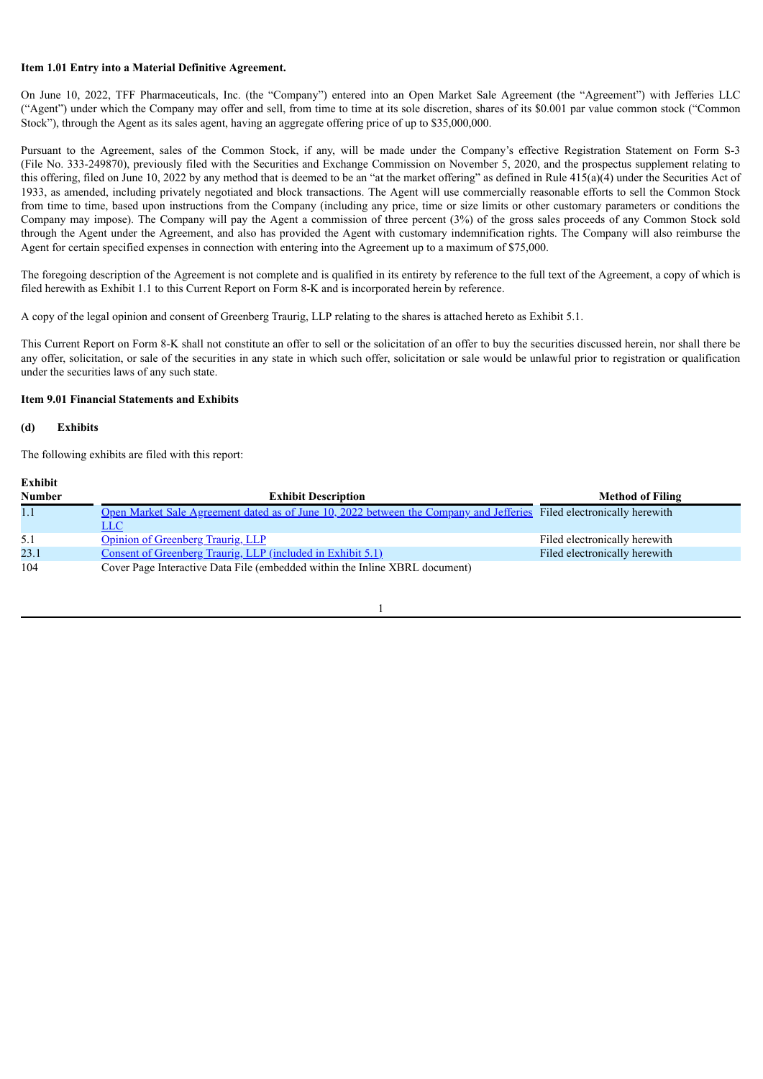### **Item 1.01 Entry into a Material Definitive Agreement.**

On June 10, 2022, TFF Pharmaceuticals, Inc. (the "Company") entered into an Open Market Sale Agreement (the "Agreement") with Jefferies LLC ("Agent") under which the Company may offer and sell, from time to time at its sole discretion, shares of its \$0.001 par value common stock ("Common Stock"), through the Agent as its sales agent, having an aggregate offering price of up to \$35,000,000.

Pursuant to the Agreement, sales of the Common Stock, if any, will be made under the Company's effective Registration Statement on Form S-3 (File No. 333-249870), previously filed with the Securities and Exchange Commission on November 5, 2020, and the prospectus supplement relating to this offering, filed on June 10, 2022 by any method that is deemed to be an "at the market offering" as defined in Rule  $415(a)(4)$  under the Securities Act of 1933, as amended, including privately negotiated and block transactions. The Agent will use commercially reasonable efforts to sell the Common Stock from time to time, based upon instructions from the Company (including any price, time or size limits or other customary parameters or conditions the Company may impose). The Company will pay the Agent a commission of three percent (3%) of the gross sales proceeds of any Common Stock sold through the Agent under the Agreement, and also has provided the Agent with customary indemnification rights. The Company will also reimburse the Agent for certain specified expenses in connection with entering into the Agreement up to a maximum of \$75,000.

The foregoing description of the Agreement is not complete and is qualified in its entirety by reference to the full text of the Agreement, a copy of which is filed herewith as Exhibit 1.1 to this Current Report on Form 8-K and is incorporated herein by reference.

A copy of the legal opinion and consent of Greenberg Traurig, LLP relating to the shares is attached hereto as Exhibit 5.1.

This Current Report on Form 8-K shall not constitute an offer to sell or the solicitation of an offer to buy the securities discussed herein, nor shall there be any offer, solicitation, or sale of the securities in any state in which such offer, solicitation or sale would be unlawful prior to registration or qualification under the securities laws of any such state.

# **Item 9.01 Financial Statements and Exhibits**

### **(d) Exhibits**

The following exhibits are filed with this report:

# **Exhibit**

| ---------<br><b>Number</b> | <b>Exhibit Description</b>                                                                                                   | <b>Method of Filing</b>       |
|----------------------------|------------------------------------------------------------------------------------------------------------------------------|-------------------------------|
| 1.1                        | Open Market Sale Agreement dated as of June 10, 2022 between the Company and Jefferies Filed electronically herewith<br>LLC. |                               |
| 5.1                        | Opinion of Greenberg Traurig, LLP                                                                                            | Filed electronically herewith |
| 23.1                       | Consent of Greenberg Traurig, LLP (included in Exhibit 5.1)                                                                  | Filed electronically herewith |
| 104                        | Cover Page Interactive Data File (embedded within the Inline XBRL document)                                                  |                               |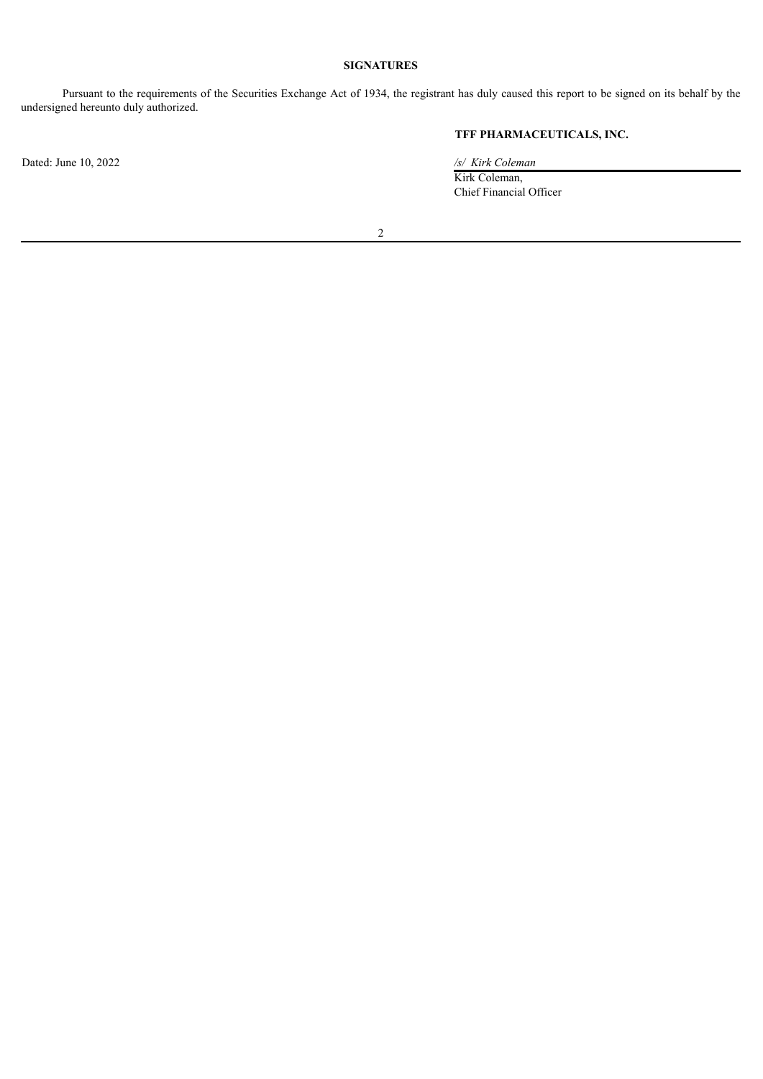# **SIGNATURES**

Pursuant to the requirements of the Securities Exchange Act of 1934, the registrant has duly caused this report to be signed on its behalf by the undersigned hereunto duly authorized.

# **TFF PHARMACEUTICALS, INC.**

Kirk Coleman, Chief Financial Officer

2

Dated: June 10, 2022 */s/ Kirk Coleman*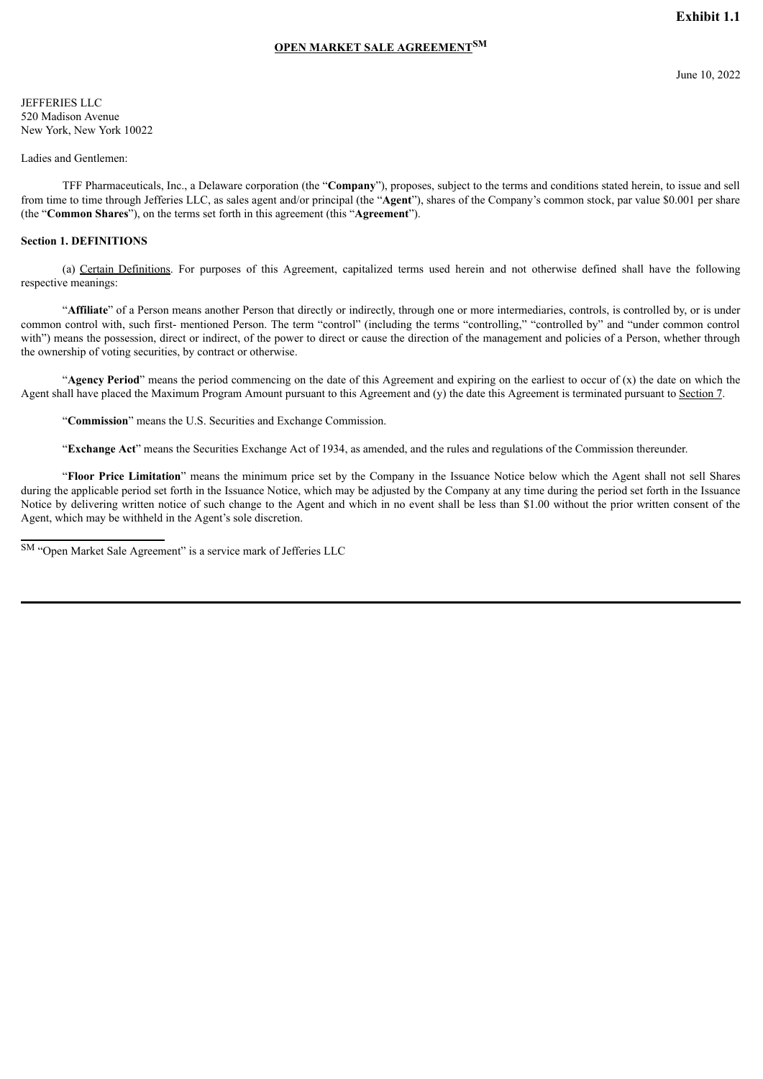# **OPEN MARKET SALE AGREEMENT SM**

<span id="page-3-0"></span>JEFFERIES LLC 520 Madison Avenue New York, New York 10022

### Ladies and Gentlemen:

TFF Pharmaceuticals, Inc., a Delaware corporation (the "**Company**"), proposes, subject to the terms and conditions stated herein, to issue and sell from time to time through Jefferies LLC, as sales agent and/or principal (the "**Agent**"), shares of the Company's common stock, par value \$0.001 per share (the "**Common Shares**"), on the terms set forth in this agreement (this "**Agreement**").

#### **Section 1. DEFINITIONS**

(a) Certain Definitions. For purposes of this Agreement, capitalized terms used herein and not otherwise defined shall have the following respective meanings:

"**Affiliate**" of a Person means another Person that directly or indirectly, through one or more intermediaries, controls, is controlled by, or is under common control with, such first- mentioned Person. The term "control" (including the terms "controlling," "controlled by" and "under common control with") means the possession, direct or indirect, of the power to direct or cause the direction of the management and policies of a Person, whether through the ownership of voting securities, by contract or otherwise.

"**Agency Period**" means the period commencing on the date of this Agreement and expiring on the earliest to occur of (x) the date on which the Agent shall have placed the Maximum Program Amount pursuant to this Agreement and (y) the date this Agreement is terminated pursuant to Section 7.

"**Commission**" means the U.S. Securities and Exchange Commission.

"**Exchange Act**" means the Securities Exchange Act of 1934, as amended, and the rules and regulations of the Commission thereunder.

"**Floor Price Limitation**" means the minimum price set by the Company in the Issuance Notice below which the Agent shall not sell Shares during the applicable period set forth in the Issuance Notice, which may be adjusted by the Company at any time during the period set forth in the Issuance Notice by delivering written notice of such change to the Agent and which in no event shall be less than \$1.00 without the prior written consent of the Agent, which may be withheld in the Agent's sole discretion.

SM "Open Market Sale Agreement" is a service mark of Jefferies LLC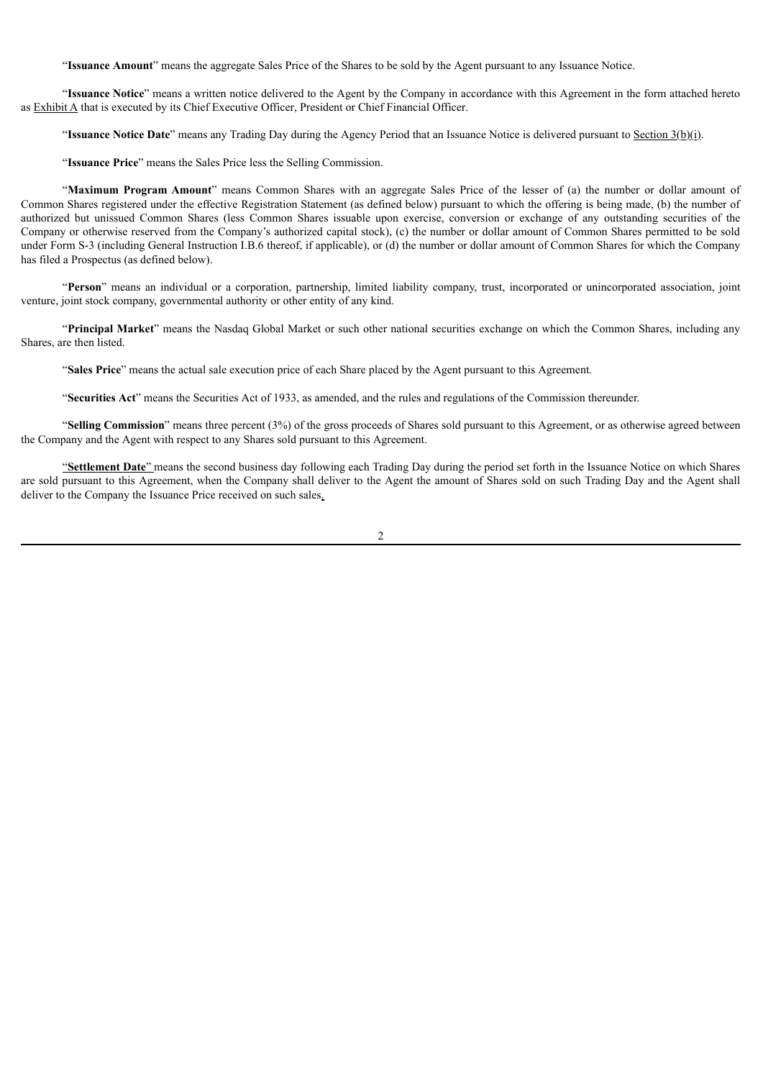"**Issuance Amount**" means the aggregate Sales Price of the Shares to be sold by the Agent pursuant to any Issuance Notice.

"**Issuance Notice**" means a written notice delivered to the Agent by the Company in accordance with this Agreement in the form attached hereto as Exhibit A that is executed by its Chief Executive Officer, President or Chief Financial Officer.

"**Issuance Notice Date**" means any Trading Day during the Agency Period that an Issuance Notice is delivered pursuant to Section 3(b)(i).

"**Issuance Price**" means the Sales Price less the Selling Commission.

"**Maximum Program Amount**" means Common Shares with an aggregate Sales Price of the lesser of (a) the number or dollar amount of Common Shares registered under the effective Registration Statement (as defined below) pursuant to which the offering is being made, (b) the number of authorized but unissued Common Shares (less Common Shares issuable upon exercise, conversion or exchange of any outstanding securities of the Company or otherwise reserved from the Company's authorized capital stock), (c) the number or dollar amount of Common Shares permitted to be sold under Form S-3 (including General Instruction I.B.6 thereof, if applicable), or (d) the number or dollar amount of Common Shares for which the Company has filed a Prospectus (as defined below).

"**Person**" means an individual or a corporation, partnership, limited liability company, trust, incorporated or unincorporated association, joint venture, joint stock company, governmental authority or other entity of any kind.

"**Principal Market**" means the Nasdaq Global Market or such other national securities exchange on which the Common Shares, including any Shares, are then listed.

"**Sales Price**" means the actual sale execution price of each Share placed by the Agent pursuant to this Agreement.

"**Securities Act**" means the Securities Act of 1933, as amended, and the rules and regulations of the Commission thereunder.

"**Selling Commission**" means three percent (3%) of the gross proceeds of Shares sold pursuant to this Agreement, or as otherwise agreed between the Company and the Agent with respect to any Shares sold pursuant to this Agreement.

"**Settlement Date**" means the second business day following each Trading Day during the period set forth in the Issuance Notice on which Shares are sold pursuant to this Agreement, when the Company shall deliver to the Agent the amount of Shares sold on such Trading Day and the Agent shall deliver to the Company the Issuance Price received on such sales.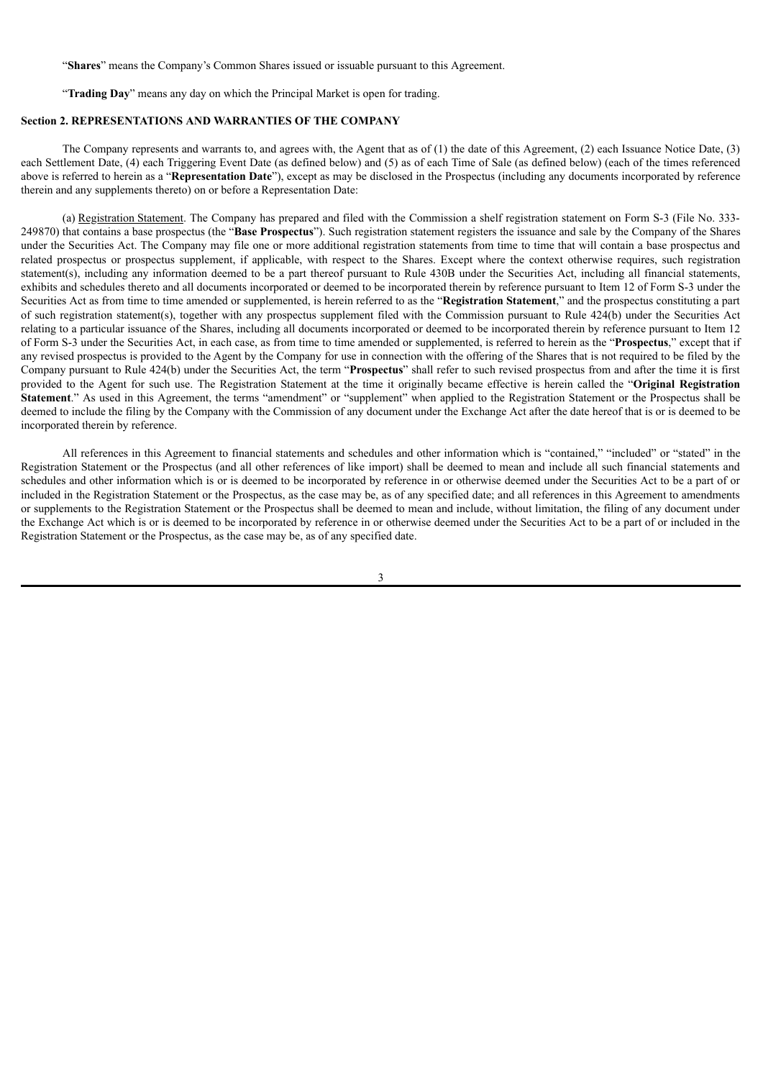"**Shares**" means the Company's Common Shares issued or issuable pursuant to this Agreement.

"**Trading Day**" means any day on which the Principal Market is open for trading.

# **Section 2. REPRESENTATIONS AND WARRANTIES OF THE COMPANY**

The Company represents and warrants to, and agrees with, the Agent that as of (1) the date of this Agreement, (2) each Issuance Notice Date, (3) each Settlement Date, (4) each Triggering Event Date (as defined below) and (5) as of each Time of Sale (as defined below) (each of the times referenced above is referred to herein as a "**Representation Date**"), except as may be disclosed in the Prospectus (including any documents incorporated by reference therein and any supplements thereto) on or before a Representation Date:

(a) Registration Statement. The Company has prepared and filed with the Commission a shelf registration statement on Form S-3 (File No. 333- 249870) that contains a base prospectus (the "**Base Prospectus**"). Such registration statement registers the issuance and sale by the Company of the Shares under the Securities Act. The Company may file one or more additional registration statements from time to time that will contain a base prospectus and related prospectus or prospectus supplement, if applicable, with respect to the Shares. Except where the context otherwise requires, such registration statement(s), including any information deemed to be a part thereof pursuant to Rule 430B under the Securities Act, including all financial statements, exhibits and schedules thereto and all documents incorporated or deemed to be incorporated therein by reference pursuant to Item 12 of Form S-3 under the Securities Act as from time to time amended or supplemented, is herein referred to as the "**Registration Statement**," and the prospectus constituting a part of such registration statement(s), together with any prospectus supplement filed with the Commission pursuant to Rule 424(b) under the Securities Act relating to a particular issuance of the Shares, including all documents incorporated or deemed to be incorporated therein by reference pursuant to Item 12 of Form S-3 under the Securities Act, in each case, as from time to time amended or supplemented, is referred to herein as the "**Prospectus**," except that if any revised prospectus is provided to the Agent by the Company for use in connection with the offering of the Shares that is not required to be filed by the Company pursuant to Rule 424(b) under the Securities Act, the term "**Prospectus**" shall refer to such revised prospectus from and after the time it is first provided to the Agent for such use. The Registration Statement at the time it originally became effective is herein called the "**Original Registration Statement**." As used in this Agreement, the terms "amendment" or "supplement" when applied to the Registration Statement or the Prospectus shall be deemed to include the filing by the Company with the Commission of any document under the Exchange Act after the date hereof that is or is deemed to be incorporated therein by reference.

All references in this Agreement to financial statements and schedules and other information which is "contained," "included" or "stated" in the Registration Statement or the Prospectus (and all other references of like import) shall be deemed to mean and include all such financial statements and schedules and other information which is or is deemed to be incorporated by reference in or otherwise deemed under the Securities Act to be a part of or included in the Registration Statement or the Prospectus, as the case may be, as of any specified date; and all references in this Agreement to amendments or supplements to the Registration Statement or the Prospectus shall be deemed to mean and include, without limitation, the filing of any document under the Exchange Act which is or is deemed to be incorporated by reference in or otherwise deemed under the Securities Act to be a part of or included in the Registration Statement or the Prospectus, as the case may be, as of any specified date.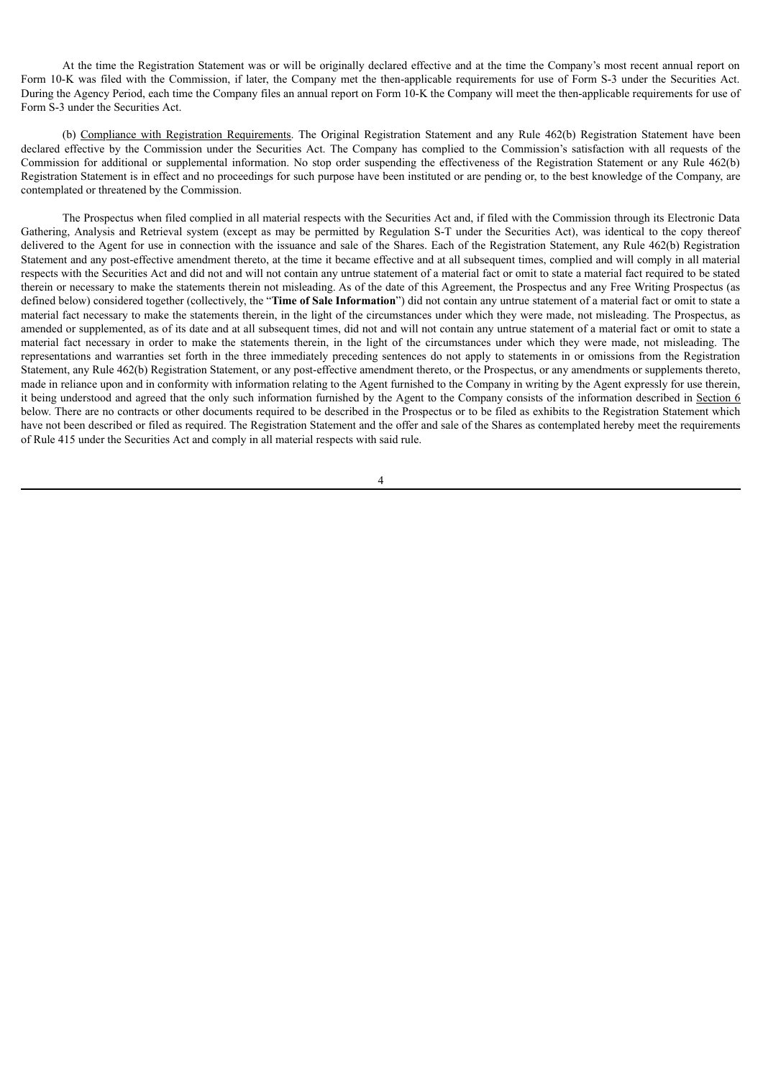At the time the Registration Statement was or will be originally declared effective and at the time the Company's most recent annual report on Form 10-K was filed with the Commission, if later, the Company met the then-applicable requirements for use of Form S-3 under the Securities Act. During the Agency Period, each time the Company files an annual report on Form 10-K the Company will meet the then-applicable requirements for use of Form S-3 under the Securities Act.

(b) Compliance with Registration Requirements. The Original Registration Statement and any Rule 462(b) Registration Statement have been declared effective by the Commission under the Securities Act. The Company has complied to the Commission's satisfaction with all requests of the Commission for additional or supplemental information. No stop order suspending the effectiveness of the Registration Statement or any Rule 462(b) Registration Statement is in effect and no proceedings for such purpose have been instituted or are pending or, to the best knowledge of the Company, are contemplated or threatened by the Commission.

The Prospectus when filed complied in all material respects with the Securities Act and, if filed with the Commission through its Electronic Data Gathering, Analysis and Retrieval system (except as may be permitted by Regulation S-T under the Securities Act), was identical to the copy thereof delivered to the Agent for use in connection with the issuance and sale of the Shares. Each of the Registration Statement, any Rule 462(b) Registration Statement and any post-effective amendment thereto, at the time it became effective and at all subsequent times, complied and will comply in all material respects with the Securities Act and did not and will not contain any untrue statement of a material fact or omit to state a material fact required to be stated therein or necessary to make the statements therein not misleading. As of the date of this Agreement, the Prospectus and any Free Writing Prospectus (as defined below) considered together (collectively, the "**Time of Sale Information**") did not contain any untrue statement of a material fact or omit to state a material fact necessary to make the statements therein, in the light of the circumstances under which they were made, not misleading. The Prospectus, as amended or supplemented, as of its date and at all subsequent times, did not and will not contain any untrue statement of a material fact or omit to state a material fact necessary in order to make the statements therein, in the light of the circumstances under which they were made, not misleading. The representations and warranties set forth in the three immediately preceding sentences do not apply to statements in or omissions from the Registration Statement, any Rule 462(b) Registration Statement, or any post-effective amendment thereto, or the Prospectus, or any amendments or supplements thereto, made in reliance upon and in conformity with information relating to the Agent furnished to the Company in writing by the Agent expressly for use therein, it being understood and agreed that the only such information furnished by the Agent to the Company consists of the information described in Section 6 below. There are no contracts or other documents required to be described in the Prospectus or to be filed as exhibits to the Registration Statement which have not been described or filed as required. The Registration Statement and the offer and sale of the Shares as contemplated hereby meet the requirements of Rule 415 under the Securities Act and comply in all material respects with said rule.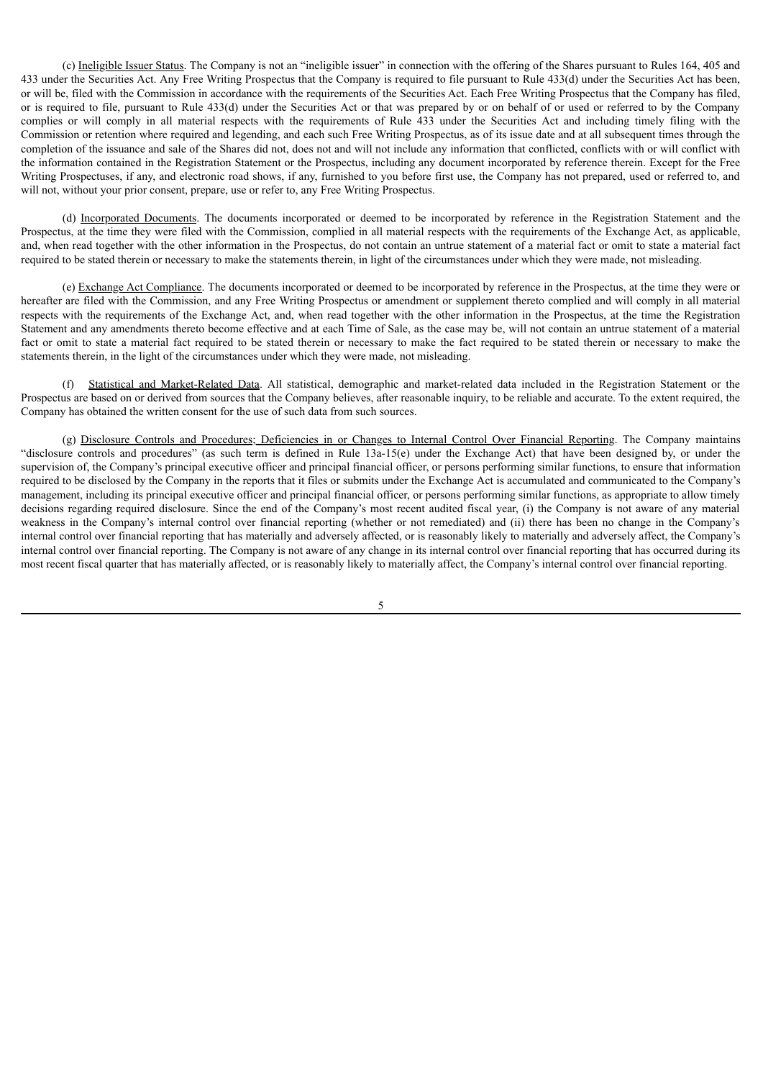(c) Ineligible Issuer Status. The Company is not an "ineligible issuer" in connection with the offering of the Shares pursuant to Rules 164, 405 and 433 under the Securities Act. Any Free Writing Prospectus that the Company is required to file pursuant to Rule 433(d) under the Securities Act has been, or will be, filed with the Commission in accordance with the requirements of the Securities Act. Each Free Writing Prospectus that the Company has filed, or is required to file, pursuant to Rule 433(d) under the Securities Act or that was prepared by or on behalf of or used or referred to by the Company complies or will comply in all material respects with the requirements of Rule 433 under the Securities Act and including timely filing with the Commission or retention where required and legending, and each such Free Writing Prospectus, as of its issue date and at all subsequent times through the completion of the issuance and sale of the Shares did not, does not and will not include any information that conflicted, conflicts with or will conflict with the information contained in the Registration Statement or the Prospectus, including any document incorporated by reference therein. Except for the Free Writing Prospectuses, if any, and electronic road shows, if any, furnished to you before first use, the Company has not prepared, used or referred to, and will not, without your prior consent, prepare, use or refer to, any Free Writing Prospectus.

(d) Incorporated Documents. The documents incorporated or deemed to be incorporated by reference in the Registration Statement and the Prospectus, at the time they were filed with the Commission, complied in all material respects with the requirements of the Exchange Act, as applicable, and, when read together with the other information in the Prospectus, do not contain an untrue statement of a material fact or omit to state a material fact required to be stated therein or necessary to make the statements therein, in light of the circumstances under which they were made, not misleading.

(e) Exchange Act Compliance. The documents incorporated or deemed to be incorporated by reference in the Prospectus, at the time they were or hereafter are filed with the Commission, and any Free Writing Prospectus or amendment or supplement thereto complied and will comply in all material respects with the requirements of the Exchange Act, and, when read together with the other information in the Prospectus, at the time the Registration Statement and any amendments thereto become effective and at each Time of Sale, as the case may be, will not contain an untrue statement of a material fact or omit to state a material fact required to be stated therein or necessary to make the fact required to be stated therein or necessary to make the statements therein, in the light of the circumstances under which they were made, not misleading.

(f) Statistical and Market-Related Data. All statistical, demographic and market-related data included in the Registration Statement or the Prospectus are based on or derived from sources that the Company believes, after reasonable inquiry, to be reliable and accurate. To the extent required, the Company has obtained the written consent for the use of such data from such sources.

(g) Disclosure Controls and Procedures; Deficiencies in or Changes to Internal Control Over Financial Reporting. The Company maintains "disclosure controls and procedures" (as such term is defined in Rule 13a-15(e) under the Exchange Act) that have been designed by, or under the supervision of, the Company's principal executive officer and principal financial officer, or persons performing similar functions, to ensure that information required to be disclosed by the Company in the reports that it files or submits under the Exchange Act is accumulated and communicated to the Company's management, including its principal executive officer and principal financial officer, or persons performing similar functions, as appropriate to allow timely decisions regarding required disclosure. Since the end of the Company's most recent audited fiscal year, (i) the Company is not aware of any material weakness in the Company's internal control over financial reporting (whether or not remediated) and (ii) there has been no change in the Company's internal control over financial reporting that has materially and adversely affected, or is reasonably likely to materially and adversely affect, the Company's internal control over financial reporting. The Company is not aware of any change in its internal control over financial reporting that has occurred during its most recent fiscal quarter that has materially affected, or is reasonably likely to materially affect, the Company's internal control over financial reporting.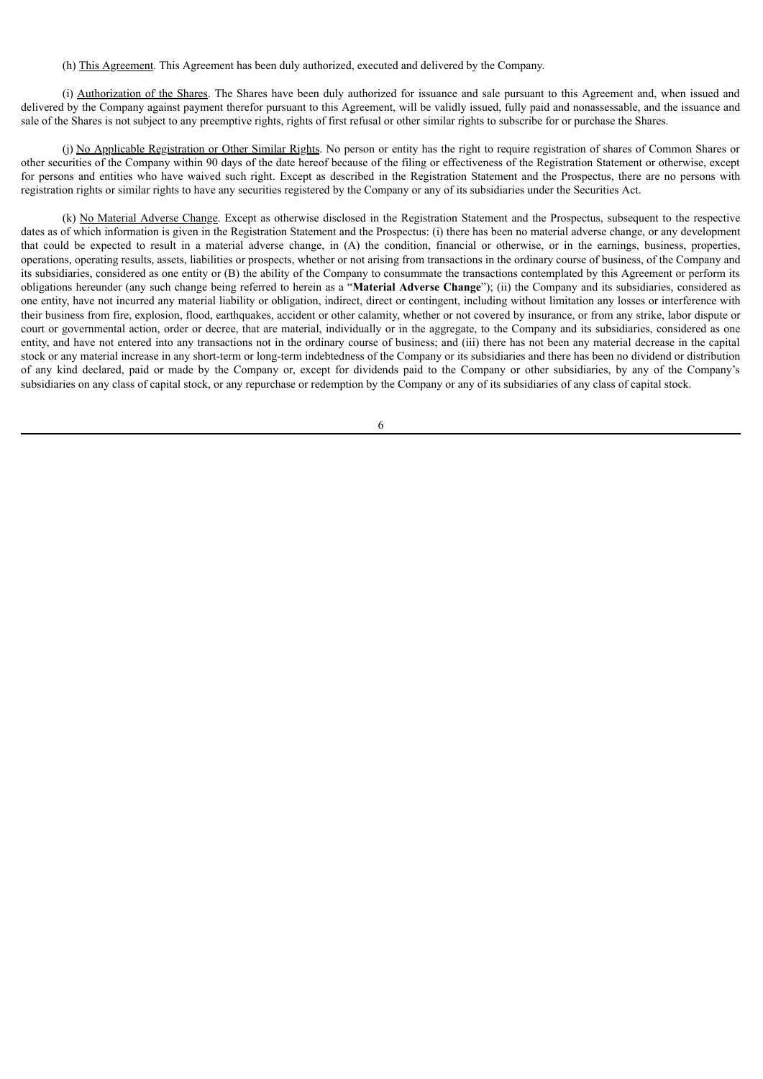(h) This Agreement. This Agreement has been duly authorized, executed and delivered by the Company.

(i) Authorization of the Shares. The Shares have been duly authorized for issuance and sale pursuant to this Agreement and, when issued and delivered by the Company against payment therefor pursuant to this Agreement, will be validly issued, fully paid and nonassessable, and the issuance and sale of the Shares is not subject to any preemptive rights, rights of first refusal or other similar rights to subscribe for or purchase the Shares.

(i) No Applicable Registration or Other Similar Rights. No person or entity has the right to require registration of shares of Common Shares or other securities of the Company within 90 days of the date hereof because of the filing or effectiveness of the Registration Statement or otherwise, except for persons and entities who have waived such right. Except as described in the Registration Statement and the Prospectus, there are no persons with registration rights or similar rights to have any securities registered by the Company or any of its subsidiaries under the Securities Act.

(k) No Material Adverse Change. Except as otherwise disclosed in the Registration Statement and the Prospectus, subsequent to the respective dates as of which information is given in the Registration Statement and the Prospectus: (i) there has been no material adverse change, or any development that could be expected to result in a material adverse change, in (A) the condition, financial or otherwise, or in the earnings, business, properties, operations, operating results, assets, liabilities or prospects, whether or not arising from transactions in the ordinary course of business, of the Company and its subsidiaries, considered as one entity or (B) the ability of the Company to consummate the transactions contemplated by this Agreement or perform its obligations hereunder (any such change being referred to herein as a "**Material Adverse Change**"); (ii) the Company and its subsidiaries, considered as one entity, have not incurred any material liability or obligation, indirect, direct or contingent, including without limitation any losses or interference with their business from fire, explosion, flood, earthquakes, accident or other calamity, whether or not covered by insurance, or from any strike, labor dispute or court or governmental action, order or decree, that are material, individually or in the aggregate, to the Company and its subsidiaries, considered as one entity, and have not entered into any transactions not in the ordinary course of business; and (iii) there has not been any material decrease in the capital stock or any material increase in any short-term or long-term indebtedness of the Company or its subsidiaries and there has been no dividend or distribution of any kind declared, paid or made by the Company or, except for dividends paid to the Company or other subsidiaries, by any of the Company's subsidiaries on any class of capital stock, or any repurchase or redemption by the Company or any of its subsidiaries of any class of capital stock.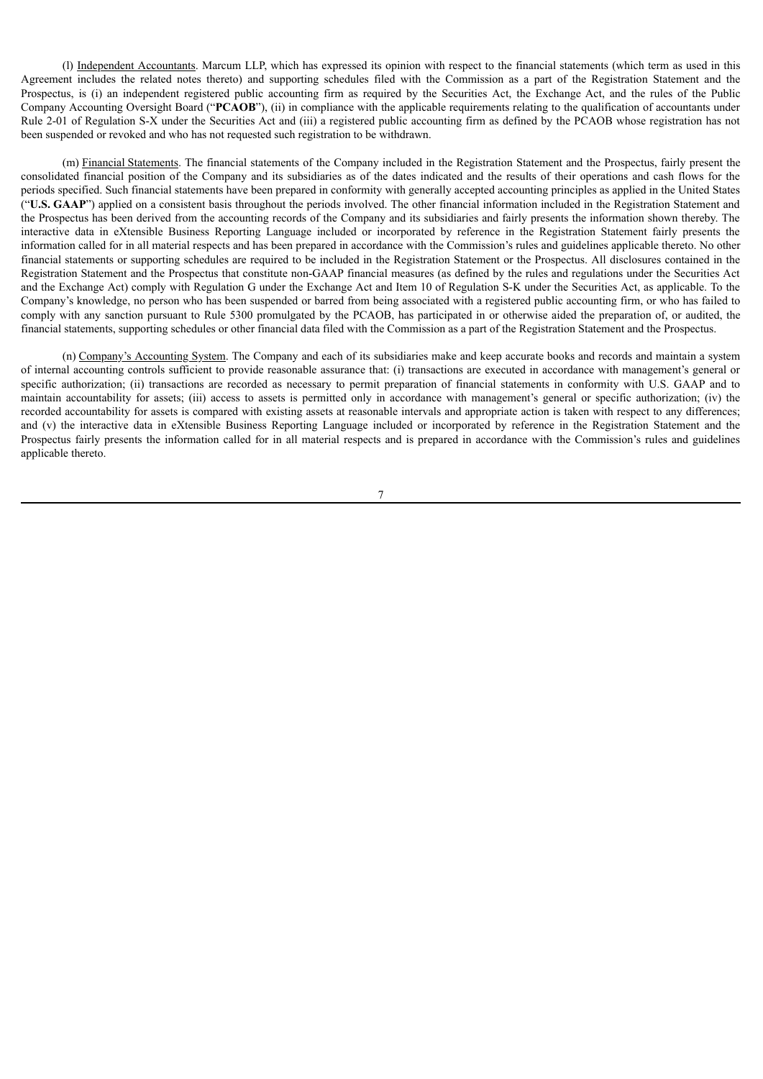(l) Independent Accountants. Marcum LLP, which has expressed its opinion with respect to the financial statements (which term as used in this Agreement includes the related notes thereto) and supporting schedules filed with the Commission as a part of the Registration Statement and the Prospectus, is (i) an independent registered public accounting firm as required by the Securities Act, the Exchange Act, and the rules of the Public Company Accounting Oversight Board ("**PCAOB**"), (ii) in compliance with the applicable requirements relating to the qualification of accountants under Rule 2-01 of Regulation S-X under the Securities Act and (iii) a registered public accounting firm as defined by the PCAOB whose registration has not been suspended or revoked and who has not requested such registration to be withdrawn.

(m) Financial Statements. The financial statements of the Company included in the Registration Statement and the Prospectus, fairly present the consolidated financial position of the Company and its subsidiaries as of the dates indicated and the results of their operations and cash flows for the periods specified. Such financial statements have been prepared in conformity with generally accepted accounting principles as applied in the United States ("**U.S. GAAP**") applied on a consistent basis throughout the periods involved. The other financial information included in the Registration Statement and the Prospectus has been derived from the accounting records of the Company and its subsidiaries and fairly presents the information shown thereby. The interactive data in eXtensible Business Reporting Language included or incorporated by reference in the Registration Statement fairly presents the information called for in all material respects and has been prepared in accordance with the Commission's rules and guidelines applicable thereto. No other financial statements or supporting schedules are required to be included in the Registration Statement or the Prospectus. All disclosures contained in the Registration Statement and the Prospectus that constitute non-GAAP financial measures (as defined by the rules and regulations under the Securities Act and the Exchange Act) comply with Regulation G under the Exchange Act and Item 10 of Regulation S-K under the Securities Act, as applicable. To the Company's knowledge, no person who has been suspended or barred from being associated with a registered public accounting firm, or who has failed to comply with any sanction pursuant to Rule 5300 promulgated by the PCAOB, has participated in or otherwise aided the preparation of, or audited, the financial statements, supporting schedules or other financial data filed with the Commission as a part of the Registration Statement and the Prospectus.

(n) Company's Accounting System. The Company and each of its subsidiaries make and keep accurate books and records and maintain a system of internal accounting controls sufficient to provide reasonable assurance that: (i) transactions are executed in accordance with management's general or specific authorization; (ii) transactions are recorded as necessary to permit preparation of financial statements in conformity with U.S. GAAP and to maintain accountability for assets; (iii) access to assets is permitted only in accordance with management's general or specific authorization; (iv) the recorded accountability for assets is compared with existing assets at reasonable intervals and appropriate action is taken with respect to any differences; and (v) the interactive data in eXtensible Business Reporting Language included or incorporated by reference in the Registration Statement and the Prospectus fairly presents the information called for in all material respects and is prepared in accordance with the Commission's rules and guidelines applicable thereto.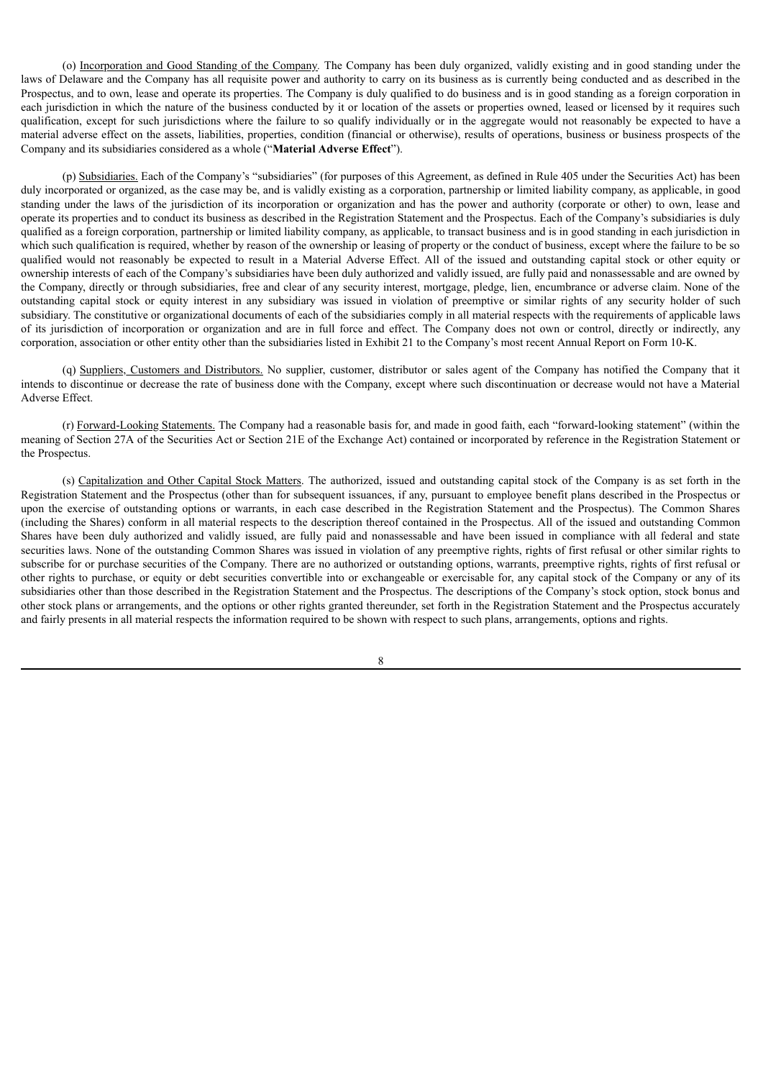(o) Incorporation and Good Standing of the Company*.* The Company has been duly organized, validly existing and in good standing under the laws of Delaware and the Company has all requisite power and authority to carry on its business as is currently being conducted and as described in the Prospectus, and to own, lease and operate its properties. The Company is duly qualified to do business and is in good standing as a foreign corporation in each jurisdiction in which the nature of the business conducted by it or location of the assets or properties owned, leased or licensed by it requires such qualification, except for such jurisdictions where the failure to so qualify individually or in the aggregate would not reasonably be expected to have a material adverse effect on the assets, liabilities, properties, condition (financial or otherwise), results of operations, business or business prospects of the Company and its subsidiaries considered as a whole ("**Material Adverse Effect**").

(p) Subsidiaries. Each of the Company's "subsidiaries" (for purposes of this Agreement, as defined in Rule 405 under the Securities Act) has been duly incorporated or organized, as the case may be, and is validly existing as a corporation, partnership or limited liability company, as applicable, in good standing under the laws of the jurisdiction of its incorporation or organization and has the power and authority (corporate or other) to own, lease and operate its properties and to conduct its business as described in the Registration Statement and the Prospectus. Each of the Company's subsidiaries is duly qualified as a foreign corporation, partnership or limited liability company, as applicable, to transact business and is in good standing in each jurisdiction in which such qualification is required, whether by reason of the ownership or leasing of property or the conduct of business, except where the failure to be so qualified would not reasonably be expected to result in a Material Adverse Effect. All of the issued and outstanding capital stock or other equity or ownership interests of each of the Company's subsidiaries have been duly authorized and validly issued, are fully paid and nonassessable and are owned by the Company, directly or through subsidiaries, free and clear of any security interest, mortgage, pledge, lien, encumbrance or adverse claim. None of the outstanding capital stock or equity interest in any subsidiary was issued in violation of preemptive or similar rights of any security holder of such subsidiary. The constitutive or organizational documents of each of the subsidiaries comply in all material respects with the requirements of applicable laws of its jurisdiction of incorporation or organization and are in full force and effect. The Company does not own or control, directly or indirectly, any corporation, association or other entity other than the subsidiaries listed in Exhibit 21 to the Company's most recent Annual Report on Form 10-K.

(q) Suppliers, Customers and Distributors. No supplier, customer, distributor or sales agent of the Company has notified the Company that it intends to discontinue or decrease the rate of business done with the Company, except where such discontinuation or decrease would not have a Material Adverse Effect.

(r) Forward-Looking Statements. The Company had a reasonable basis for, and made in good faith, each "forward-looking statement" (within the meaning of Section 27A of the Securities Act or Section 21E of the Exchange Act) contained or incorporated by reference in the Registration Statement or the Prospectus.

(s) Capitalization and Other Capital Stock Matters. The authorized, issued and outstanding capital stock of the Company is as set forth in the Registration Statement and the Prospectus (other than for subsequent issuances, if any, pursuant to employee benefit plans described in the Prospectus or upon the exercise of outstanding options or warrants, in each case described in the Registration Statement and the Prospectus). The Common Shares (including the Shares) conform in all material respects to the description thereof contained in the Prospectus. All of the issued and outstanding Common Shares have been duly authorized and validly issued, are fully paid and nonassessable and have been issued in compliance with all federal and state securities laws. None of the outstanding Common Shares was issued in violation of any preemptive rights, rights of first refusal or other similar rights to subscribe for or purchase securities of the Company. There are no authorized or outstanding options, warrants, preemptive rights, rights of first refusal or other rights to purchase, or equity or debt securities convertible into or exchangeable or exercisable for, any capital stock of the Company or any of its subsidiaries other than those described in the Registration Statement and the Prospectus. The descriptions of the Company's stock option, stock bonus and other stock plans or arrangements, and the options or other rights granted thereunder, set forth in the Registration Statement and the Prospectus accurately and fairly presents in all material respects the information required to be shown with respect to such plans, arrangements, options and rights.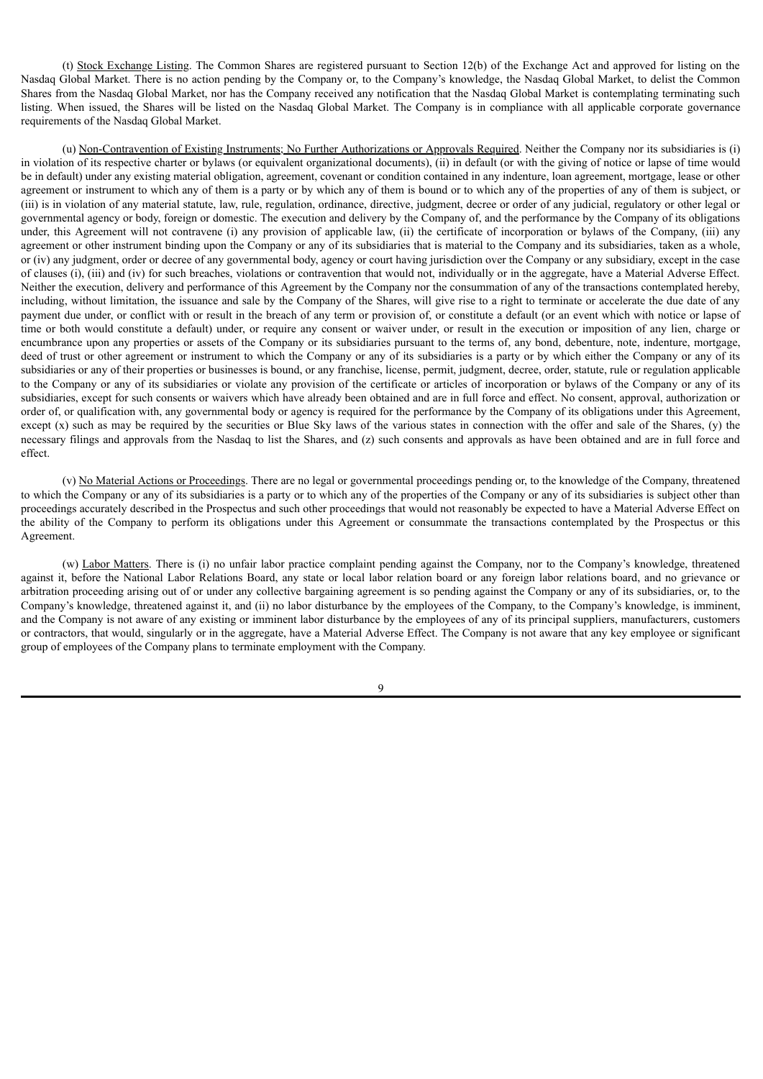(t) Stock Exchange Listing. The Common Shares are registered pursuant to Section 12(b) of the Exchange Act and approved for listing on the Nasdaq Global Market. There is no action pending by the Company or, to the Company's knowledge, the Nasdaq Global Market, to delist the Common Shares from the Nasdaq Global Market, nor has the Company received any notification that the Nasdaq Global Market is contemplating terminating such listing. When issued, the Shares will be listed on the Nasdaq Global Market. The Company is in compliance with all applicable corporate governance requirements of the Nasdaq Global Market.

(u) Non-Contravention of Existing Instruments; No Further Authorizations or Approvals Required. Neither the Company nor its subsidiaries is (i) in violation of its respective charter or bylaws (or equivalent organizational documents), (ii) in default (or with the giving of notice or lapse of time would be in default) under any existing material obligation, agreement, covenant or condition contained in any indenture, loan agreement, mortgage, lease or other agreement or instrument to which any of them is a party or by which any of them is bound or to which any of the properties of any of them is subject, or (iii) is in violation of any material statute, law, rule, regulation, ordinance, directive, judgment, decree or order of any judicial, regulatory or other legal or governmental agency or body, foreign or domestic. The execution and delivery by the Company of, and the performance by the Company of its obligations under, this Agreement will not contravene (i) any provision of applicable law, (ii) the certificate of incorporation or bylaws of the Company, (iii) any agreement or other instrument binding upon the Company or any of its subsidiaries that is material to the Company and its subsidiaries, taken as a whole, or (iv) any judgment, order or decree of any governmental body, agency or court having jurisdiction over the Company or any subsidiary, except in the case of clauses (i), (iii) and (iv) for such breaches, violations or contravention that would not, individually or in the aggregate, have a Material Adverse Effect. Neither the execution, delivery and performance of this Agreement by the Company nor the consummation of any of the transactions contemplated hereby, including, without limitation, the issuance and sale by the Company of the Shares, will give rise to a right to terminate or accelerate the due date of any payment due under, or conflict with or result in the breach of any term or provision of, or constitute a default (or an event which with notice or lapse of time or both would constitute a default) under, or require any consent or waiver under, or result in the execution or imposition of any lien, charge or encumbrance upon any properties or assets of the Company or its subsidiaries pursuant to the terms of, any bond, debenture, note, indenture, mortgage, deed of trust or other agreement or instrument to which the Company or any of its subsidiaries is a party or by which either the Company or any of its subsidiaries or any of their properties or businesses is bound, or any franchise, license, permit, judgment, decree, order, statute, rule or regulation applicable to the Company or any of its subsidiaries or violate any provision of the certificate or articles of incorporation or bylaws of the Company or any of its subsidiaries, except for such consents or waivers which have already been obtained and are in full force and effect. No consent, approval, authorization or order of, or qualification with, any governmental body or agency is required for the performance by the Company of its obligations under this Agreement, except  $(x)$  such as may be required by the securities or Blue Sky laws of the various states in connection with the offer and sale of the Shares,  $(y)$  the necessary filings and approvals from the Nasdaq to list the Shares, and (z) such consents and approvals as have been obtained and are in full force and effect.

(v) No Material Actions or Proceedings. There are no legal or governmental proceedings pending or, to the knowledge of the Company, threatened to which the Company or any of its subsidiaries is a party or to which any of the properties of the Company or any of its subsidiaries is subject other than proceedings accurately described in the Prospectus and such other proceedings that would not reasonably be expected to have a Material Adverse Effect on the ability of the Company to perform its obligations under this Agreement or consummate the transactions contemplated by the Prospectus or this Agreement.

(w) Labor Matters. There is (i) no unfair labor practice complaint pending against the Company, nor to the Company's knowledge, threatened against it, before the National Labor Relations Board, any state or local labor relation board or any foreign labor relations board, and no grievance or arbitration proceeding arising out of or under any collective bargaining agreement is so pending against the Company or any of its subsidiaries, or, to the Company's knowledge, threatened against it, and (ii) no labor disturbance by the employees of the Company, to the Company's knowledge, is imminent, and the Company is not aware of any existing or imminent labor disturbance by the employees of any of its principal suppliers, manufacturers, customers or contractors, that would, singularly or in the aggregate, have a Material Adverse Effect. The Company is not aware that any key employee or significant group of employees of the Company plans to terminate employment with the Company.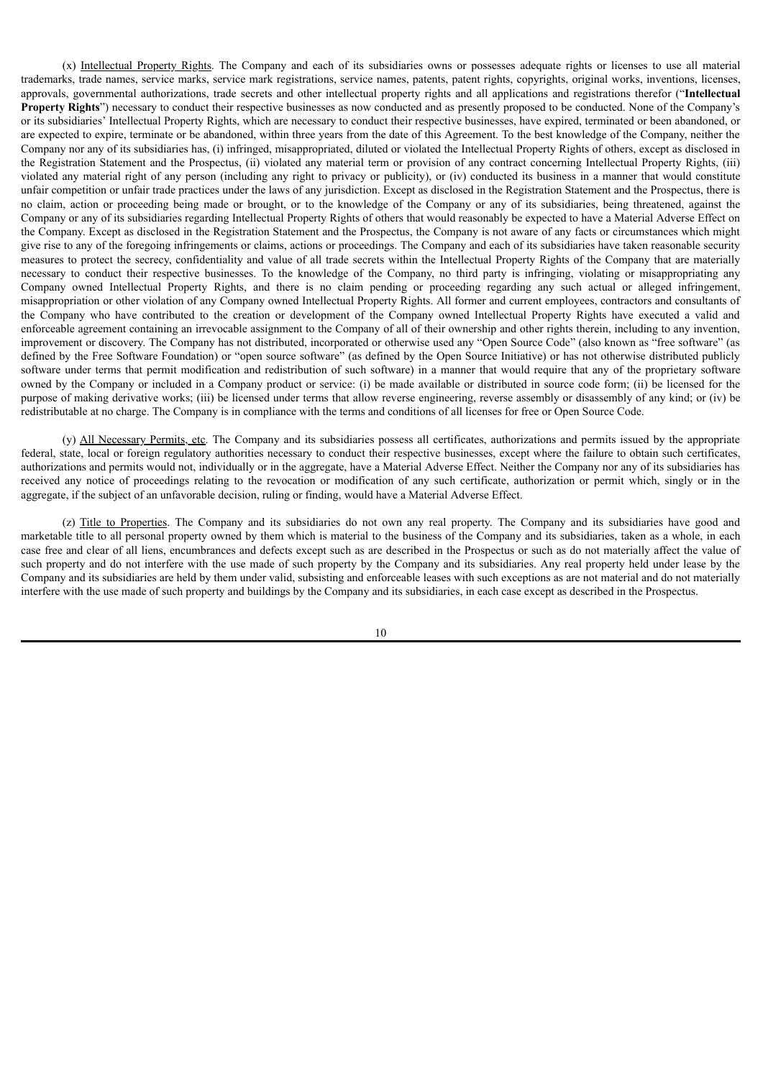(x) Intellectual Property Rights. The Company and each of its subsidiaries owns or possesses adequate rights or licenses to use all material trademarks, trade names, service marks, service mark registrations, service names, patents, patent rights, copyrights, original works, inventions, licenses, approvals, governmental authorizations, trade secrets and other intellectual property rights and all applications and registrations therefor ("**Intellectual Property Rights**") necessary to conduct their respective businesses as now conducted and as presently proposed to be conducted. None of the Company's or its subsidiaries' Intellectual Property Rights, which are necessary to conduct their respective businesses, have expired, terminated or been abandoned, or are expected to expire, terminate or be abandoned, within three years from the date of this Agreement. To the best knowledge of the Company, neither the Company nor any of its subsidiaries has, (i) infringed, misappropriated, diluted or violated the Intellectual Property Rights of others, except as disclosed in the Registration Statement and the Prospectus, (ii) violated any material term or provision of any contract concerning Intellectual Property Rights, (iii) violated any material right of any person (including any right to privacy or publicity), or (iv) conducted its business in a manner that would constitute unfair competition or unfair trade practices under the laws of any jurisdiction. Except as disclosed in the Registration Statement and the Prospectus, there is no claim, action or proceeding being made or brought, or to the knowledge of the Company or any of its subsidiaries, being threatened, against the Company or any of its subsidiaries regarding Intellectual Property Rights of others that would reasonably be expected to have a Material Adverse Effect on the Company. Except as disclosed in the Registration Statement and the Prospectus, the Company is not aware of any facts or circumstances which might give rise to any of the foregoing infringements or claims, actions or proceedings. The Company and each of its subsidiaries have taken reasonable security measures to protect the secrecy, confidentiality and value of all trade secrets within the Intellectual Property Rights of the Company that are materially necessary to conduct their respective businesses. To the knowledge of the Company, no third party is infringing, violating or misappropriating any Company owned Intellectual Property Rights, and there is no claim pending or proceeding regarding any such actual or alleged infringement, misappropriation or other violation of any Company owned Intellectual Property Rights. All former and current employees, contractors and consultants of the Company who have contributed to the creation or development of the Company owned Intellectual Property Rights have executed a valid and enforceable agreement containing an irrevocable assignment to the Company of all of their ownership and other rights therein, including to any invention, improvement or discovery. The Company has not distributed, incorporated or otherwise used any "Open Source Code" (also known as "free software" (as defined by the Free Software Foundation) or "open source software" (as defined by the Open Source Initiative) or has not otherwise distributed publicly software under terms that permit modification and redistribution of such software) in a manner that would require that any of the proprietary software owned by the Company or included in a Company product or service: (i) be made available or distributed in source code form; (ii) be licensed for the purpose of making derivative works; (iii) be licensed under terms that allow reverse engineering, reverse assembly or disassembly of any kind; or (iv) be redistributable at no charge. The Company is in compliance with the terms and conditions of all licenses for free or Open Source Code.

(y) All Necessary Permits, etc. The Company and its subsidiaries possess all certificates, authorizations and permits issued by the appropriate federal, state, local or foreign regulatory authorities necessary to conduct their respective businesses, except where the failure to obtain such certificates, authorizations and permits would not, individually or in the aggregate, have a Material Adverse Effect. Neither the Company nor any of its subsidiaries has received any notice of proceedings relating to the revocation or modification of any such certificate, authorization or permit which, singly or in the aggregate, if the subject of an unfavorable decision, ruling or finding, would have a Material Adverse Effect.

(z) Title to Properties. The Company and its subsidiaries do not own any real property. The Company and its subsidiaries have good and marketable title to all personal property owned by them which is material to the business of the Company and its subsidiaries, taken as a whole, in each case free and clear of all liens, encumbrances and defects except such as are described in the Prospectus or such as do not materially affect the value of such property and do not interfere with the use made of such property by the Company and its subsidiaries. Any real property held under lease by the Company and its subsidiaries are held by them under valid, subsisting and enforceable leases with such exceptions as are not material and do not materially interfere with the use made of such property and buildings by the Company and its subsidiaries, in each case except as described in the Prospectus.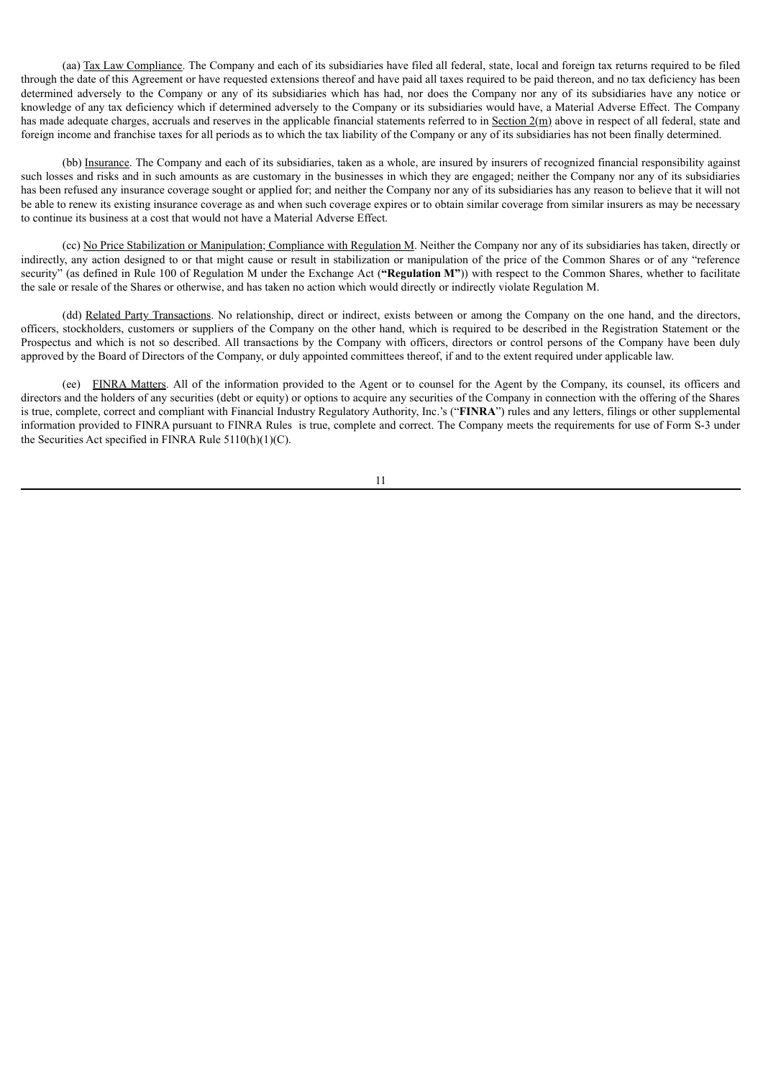(aa) Tax Law Compliance. The Company and each of its subsidiaries have filed all federal, state, local and foreign tax returns required to be filed through the date of this Agreement or have requested extensions thereof and have paid all taxes required to be paid thereon, and no tax deficiency has been determined adversely to the Company or any of its subsidiaries which has had, nor does the Company nor any of its subsidiaries have any notice or knowledge of any tax deficiency which if determined adversely to the Company or its subsidiaries would have, a Material Adverse Effect. The Company has made adequate charges, accruals and reserves in the applicable financial statements referred to in Section 2(m) above in respect of all federal, state and foreign income and franchise taxes for all periods as to which the tax liability of the Company or any of its subsidiaries has not been finally determined.

(bb) Insurance. The Company and each of its subsidiaries, taken as a whole, are insured by insurers of recognized financial responsibility against such losses and risks and in such amounts as are customary in the businesses in which they are engaged; neither the Company nor any of its subsidiaries has been refused any insurance coverage sought or applied for; and neither the Company nor any of its subsidiaries has any reason to believe that it will not be able to renew its existing insurance coverage as and when such coverage expires or to obtain similar coverage from similar insurers as may be necessary to continue its business at a cost that would not have a Material Adverse Effect.

(cc) No Price Stabilization or Manipulation; Compliance with Regulation M. Neither the Company nor any of its subsidiaries has taken, directly or indirectly, any action designed to or that might cause or result in stabilization or manipulation of the price of the Common Shares or of any "reference security" (as defined in Rule 100 of Regulation M under the Exchange Act (**"Regulation M"**)) with respect to the Common Shares, whether to facilitate the sale or resale of the Shares or otherwise, and has taken no action which would directly or indirectly violate Regulation M.

(dd) Related Party Transactions. No relationship, direct or indirect, exists between or among the Company on the one hand, and the directors, officers, stockholders, customers or suppliers of the Company on the other hand, which is required to be described in the Registration Statement or the Prospectus and which is not so described. All transactions by the Company with officers, directors or control persons of the Company have been duly approved by the Board of Directors of the Company, or duly appointed committees thereof, if and to the extent required under applicable law.

(ee) FINRA Matters. All of the information provided to the Agent or to counsel for the Agent by the Company, its counsel, its officers and directors and the holders of any securities (debt or equity) or options to acquire any securities of the Company in connection with the offering of the Shares is true, complete, correct and compliant with Financial Industry Regulatory Authority, Inc.'s ("**FINRA**") rules and any letters, filings or other supplemental information provided to FINRA pursuant to FINRA Rules is true, complete and correct. The Company meets the requirements for use of Form S-3 under the Securities Act specified in FINRA Rule 5110(h)(1)(C).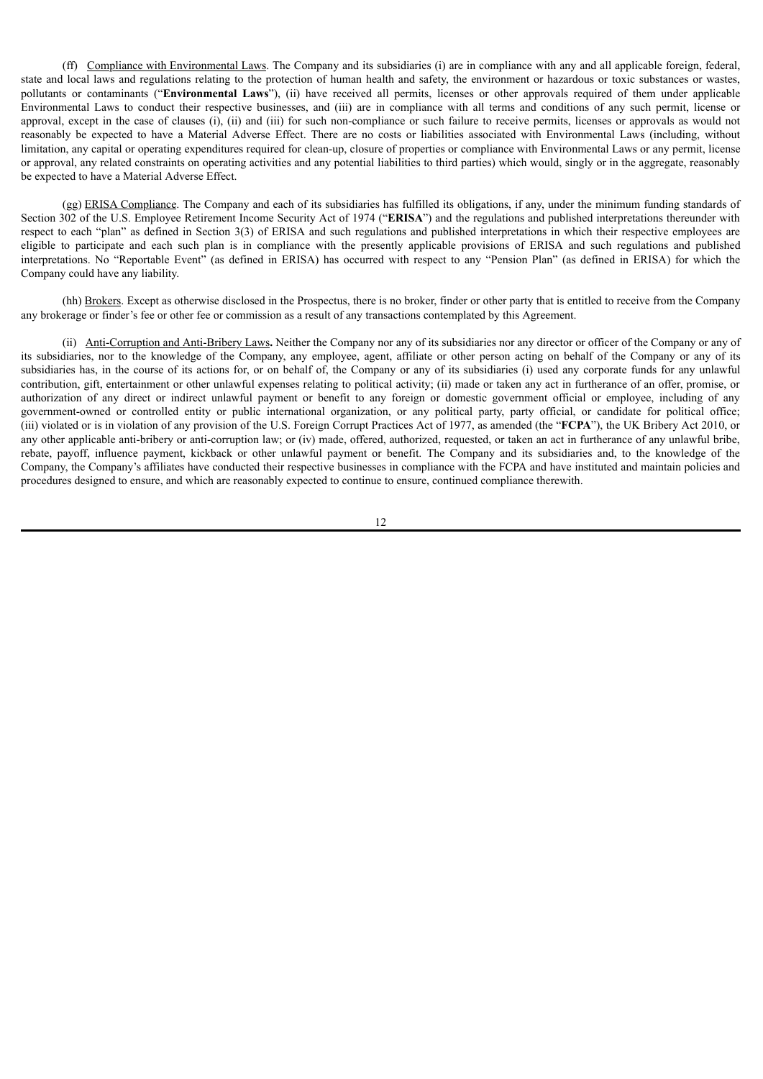(ff) Compliance with Environmental Laws. The Company and its subsidiaries (i) are in compliance with any and all applicable foreign, federal, state and local laws and regulations relating to the protection of human health and safety, the environment or hazardous or toxic substances or wastes, pollutants or contaminants ("**Environmental Laws**"), (ii) have received all permits, licenses or other approvals required of them under applicable Environmental Laws to conduct their respective businesses, and (iii) are in compliance with all terms and conditions of any such permit, license or approval, except in the case of clauses (i), (ii) and (iii) for such non-compliance or such failure to receive permits, licenses or approvals as would not reasonably be expected to have a Material Adverse Effect. There are no costs or liabilities associated with Environmental Laws (including, without limitation, any capital or operating expenditures required for clean-up, closure of properties or compliance with Environmental Laws or any permit, license or approval, any related constraints on operating activities and any potential liabilities to third parties) which would, singly or in the aggregate, reasonably be expected to have a Material Adverse Effect.

(gg) ERISA Compliance. The Company and each of its subsidiaries has fulfilled its obligations, if any, under the minimum funding standards of Section 302 of the U.S. Employee Retirement Income Security Act of 1974 ("**ERISA**") and the regulations and published interpretations thereunder with respect to each "plan" as defined in Section 3(3) of ERISA and such regulations and published interpretations in which their respective employees are eligible to participate and each such plan is in compliance with the presently applicable provisions of ERISA and such regulations and published interpretations. No "Reportable Event" (as defined in ERISA) has occurred with respect to any "Pension Plan" (as defined in ERISA) for which the Company could have any liability.

(hh) Brokers. Except as otherwise disclosed in the Prospectus, there is no broker, finder or other party that is entitled to receive from the Company any brokerage or finder's fee or other fee or commission as a result of any transactions contemplated by this Agreement.

(ii) Anti-Corruption and Anti-Bribery Laws**.** Neither the Company nor any of its subsidiaries nor any director or officer of the Company or any of its subsidiaries, nor to the knowledge of the Company, any employee, agent, affiliate or other person acting on behalf of the Company or any of its subsidiaries has, in the course of its actions for, or on behalf of, the Company or any of its subsidiaries (i) used any corporate funds for any unlawful contribution, gift, entertainment or other unlawful expenses relating to political activity; (ii) made or taken any act in furtherance of an offer, promise, or authorization of any direct or indirect unlawful payment or benefit to any foreign or domestic government official or employee, including of any government-owned or controlled entity or public international organization, or any political party, party official, or candidate for political office; (iii) violated or is in violation of any provision of the U.S. Foreign Corrupt Practices Act of 1977, as amended (the "**FCPA**"), the UK Bribery Act 2010, or any other applicable anti-bribery or anti-corruption law; or (iv) made, offered, authorized, requested, or taken an act in furtherance of any unlawful bribe, rebate, payoff, influence payment, kickback or other unlawful payment or benefit. The Company and its subsidiaries and, to the knowledge of the Company, the Company's affiliates have conducted their respective businesses in compliance with the FCPA and have instituted and maintain policies and procedures designed to ensure, and which are reasonably expected to continue to ensure, continued compliance therewith.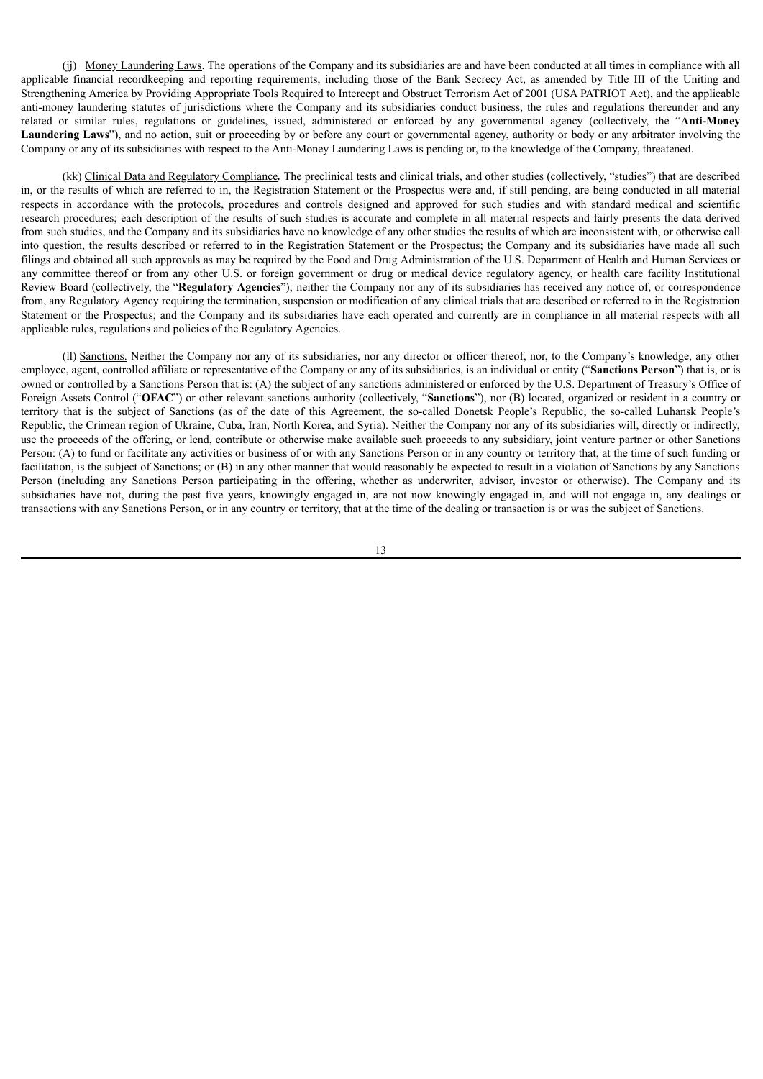(jj) Money Laundering Laws. The operations of the Company and its subsidiaries are and have been conducted at all times in compliance with all applicable financial recordkeeping and reporting requirements, including those of the Bank Secrecy Act, as amended by Title III of the Uniting and Strengthening America by Providing Appropriate Tools Required to Intercept and Obstruct Terrorism Act of 2001 (USA PATRIOT Act), and the applicable anti-money laundering statutes of jurisdictions where the Company and its subsidiaries conduct business, the rules and regulations thereunder and any related or similar rules, regulations or guidelines, issued, administered or enforced by any governmental agency (collectively, the "**Anti-Money Laundering Laws**"), and no action, suit or proceeding by or before any court or governmental agency, authority or body or any arbitrator involving the Company or any of its subsidiaries with respect to the Anti-Money Laundering Laws is pending or, to the knowledge of the Company, threatened.

(kk) Clinical Data and Regulatory Compliance*.* The preclinical tests and clinical trials, and other studies (collectively, "studies") that are described in, or the results of which are referred to in, the Registration Statement or the Prospectus were and, if still pending, are being conducted in all material respects in accordance with the protocols, procedures and controls designed and approved for such studies and with standard medical and scientific research procedures; each description of the results of such studies is accurate and complete in all material respects and fairly presents the data derived from such studies, and the Company and its subsidiaries have no knowledge of any other studies the results of which are inconsistent with, or otherwise call into question, the results described or referred to in the Registration Statement or the Prospectus; the Company and its subsidiaries have made all such filings and obtained all such approvals as may be required by the Food and Drug Administration of the U.S. Department of Health and Human Services or any committee thereof or from any other U.S. or foreign government or drug or medical device regulatory agency, or health care facility Institutional Review Board (collectively, the "**Regulatory Agencies**"); neither the Company nor any of its subsidiaries has received any notice of, or correspondence from, any Regulatory Agency requiring the termination, suspension or modification of any clinical trials that are described or referred to in the Registration Statement or the Prospectus; and the Company and its subsidiaries have each operated and currently are in compliance in all material respects with all applicable rules, regulations and policies of the Regulatory Agencies.

(ll) Sanctions. Neither the Company nor any of its subsidiaries, nor any director or officer thereof, nor, to the Company's knowledge, any other employee, agent, controlled affiliate or representative of the Company or any of its subsidiaries, is an individual or entity ("**Sanctions Person**") that is, or is owned or controlled by a Sanctions Person that is: (A) the subject of any sanctions administered or enforced by the U.S. Department of Treasury's Office of Foreign Assets Control ("**OFAC**") or other relevant sanctions authority (collectively, "**Sanctions**"), nor (B) located, organized or resident in a country or territory that is the subject of Sanctions (as of the date of this Agreement, the so-called Donetsk People's Republic, the so-called Luhansk People's Republic, the Crimean region of Ukraine, Cuba, Iran, North Korea, and Syria). Neither the Company nor any of its subsidiaries will, directly or indirectly, use the proceeds of the offering, or lend, contribute or otherwise make available such proceeds to any subsidiary, joint venture partner or other Sanctions Person: (A) to fund or facilitate any activities or business of or with any Sanctions Person or in any country or territory that, at the time of such funding or facilitation, is the subject of Sanctions; or (B) in any other manner that would reasonably be expected to result in a violation of Sanctions by any Sanctions Person (including any Sanctions Person participating in the offering, whether as underwriter, advisor, investor or otherwise). The Company and its subsidiaries have not, during the past five years, knowingly engaged in, are not now knowingly engaged in, and will not engage in, any dealings or transactions with any Sanctions Person, or in any country or territory, that at the time of the dealing or transaction is or was the subject of Sanctions.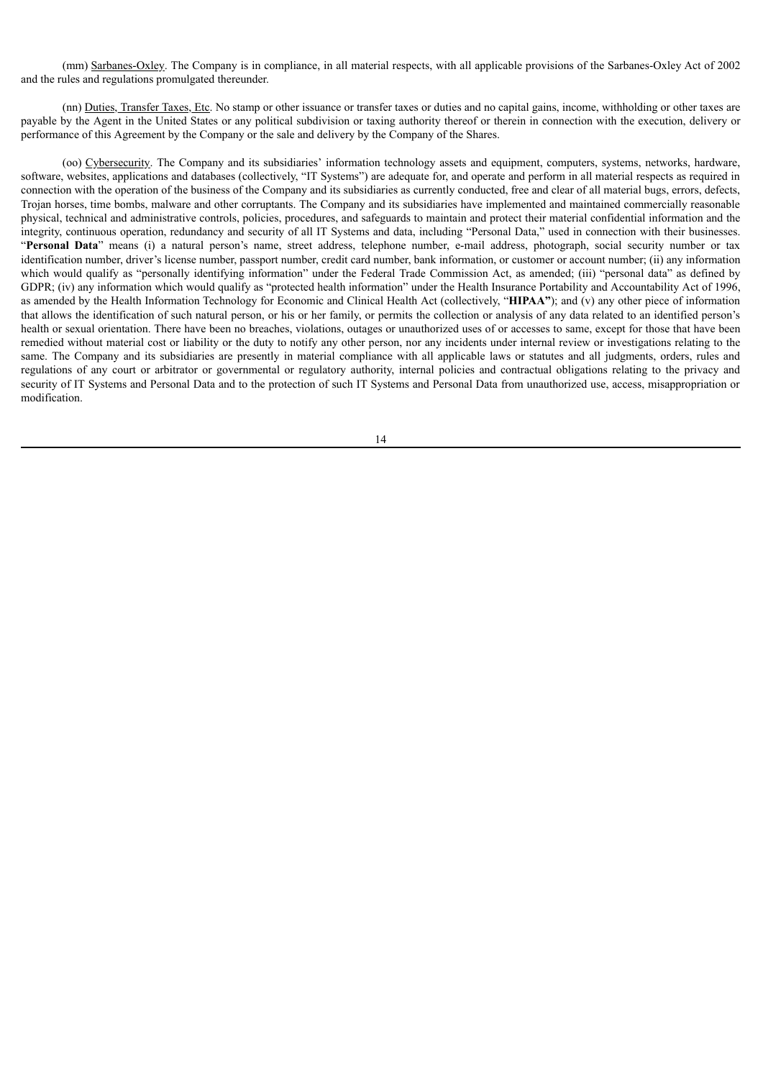(mm) Sarbanes-Oxley. The Company is in compliance, in all material respects, with all applicable provisions of the Sarbanes-Oxley Act of 2002 and the rules and regulations promulgated thereunder.

(nn) Duties, Transfer Taxes, Etc. No stamp or other issuance or transfer taxes or duties and no capital gains, income, withholding or other taxes are payable by the Agent in the United States or any political subdivision or taxing authority thereof or therein in connection with the execution, delivery or performance of this Agreement by the Company or the sale and delivery by the Company of the Shares.

(oo) Cybersecurity. The Company and its subsidiaries' information technology assets and equipment, computers, systems, networks, hardware, software, websites, applications and databases (collectively, "IT Systems") are adequate for, and operate and perform in all material respects as required in connection with the operation of the business of the Company and its subsidiaries as currently conducted, free and clear of all material bugs, errors, defects, Trojan horses, time bombs, malware and other corruptants. The Company and its subsidiaries have implemented and maintained commercially reasonable physical, technical and administrative controls, policies, procedures, and safeguards to maintain and protect their material confidential information and the integrity, continuous operation, redundancy and security of all IT Systems and data, including "Personal Data," used in connection with their businesses. "**Personal Data**" means (i) a natural person's name, street address, telephone number, e-mail address, photograph, social security number or tax identification number, driver's license number, passport number, credit card number, bank information, or customer or account number; (ii) any information which would qualify as "personally identifying information" under the Federal Trade Commission Act, as amended; (iii) "personal data" as defined by GDPR; (iv) any information which would qualify as "protected health information" under the Health Insurance Portability and Accountability Act of 1996, as amended by the Health Information Technology for Economic and Clinical Health Act (collectively, "**HIPAA"**); and (v) any other piece of information that allows the identification of such natural person, or his or her family, or permits the collection or analysis of any data related to an identified person's health or sexual orientation. There have been no breaches, violations, outages or unauthorized uses of or accesses to same, except for those that have been remedied without material cost or liability or the duty to notify any other person, nor any incidents under internal review or investigations relating to the same. The Company and its subsidiaries are presently in material compliance with all applicable laws or statutes and all judgments, orders, rules and regulations of any court or arbitrator or governmental or regulatory authority, internal policies and contractual obligations relating to the privacy and security of IT Systems and Personal Data and to the protection of such IT Systems and Personal Data from unauthorized use, access, misappropriation or modification.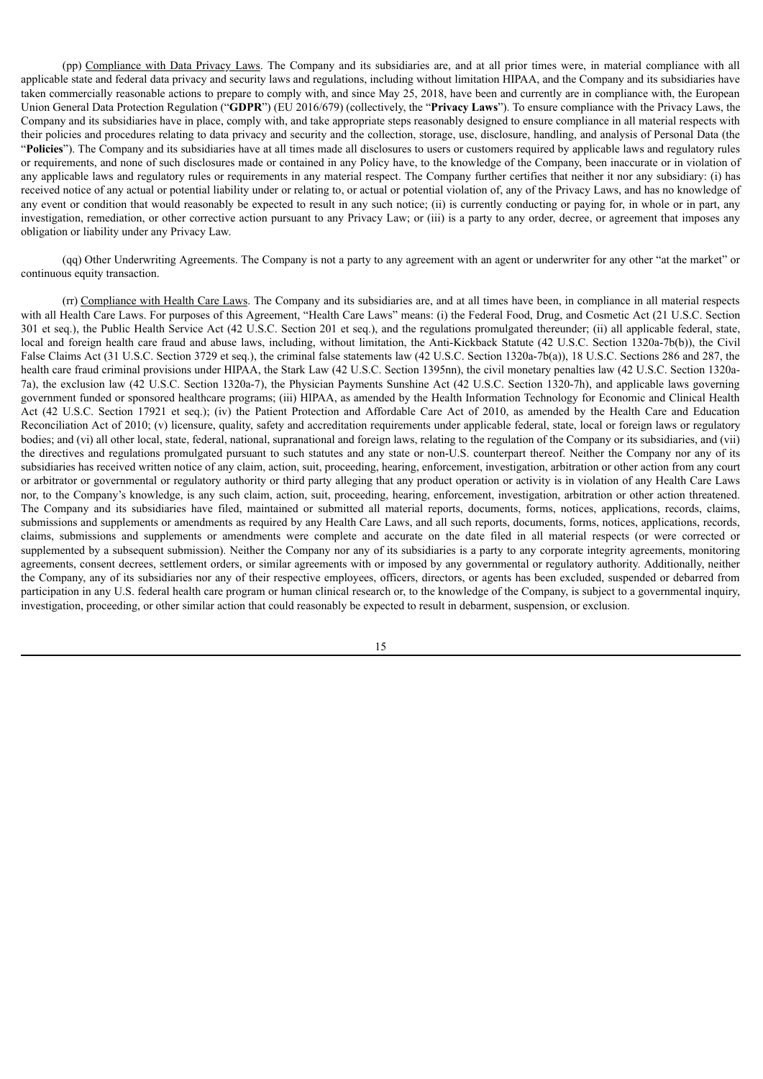(pp) Compliance with Data Privacy Laws. The Company and its subsidiaries are, and at all prior times were, in material compliance with all applicable state and federal data privacy and security laws and regulations, including without limitation HIPAA, and the Company and its subsidiaries have taken commercially reasonable actions to prepare to comply with, and since May 25, 2018, have been and currently are in compliance with, the European Union General Data Protection Regulation ("**GDPR**") (EU 2016/679) (collectively, the "**Privacy Laws**"). To ensure compliance with the Privacy Laws, the Company and its subsidiaries have in place, comply with, and take appropriate steps reasonably designed to ensure compliance in all material respects with their policies and procedures relating to data privacy and security and the collection, storage, use, disclosure, handling, and analysis of Personal Data (the "**Policies**"). The Company and its subsidiaries have at all times made all disclosures to users or customers required by applicable laws and regulatory rules or requirements, and none of such disclosures made or contained in any Policy have, to the knowledge of the Company, been inaccurate or in violation of any applicable laws and regulatory rules or requirements in any material respect. The Company further certifies that neither it nor any subsidiary: (i) has received notice of any actual or potential liability under or relating to, or actual or potential violation of, any of the Privacy Laws, and has no knowledge of any event or condition that would reasonably be expected to result in any such notice; (ii) is currently conducting or paying for, in whole or in part, any investigation, remediation, or other corrective action pursuant to any Privacy Law; or (iii) is a party to any order, decree, or agreement that imposes any obligation or liability under any Privacy Law.

(qq) Other Underwriting Agreements. The Company is not a party to any agreement with an agent or underwriter for any other "at the market" or continuous equity transaction.

(rr) Compliance with Health Care Laws. The Company and its subsidiaries are, and at all times have been, in compliance in all material respects with all Health Care Laws. For purposes of this Agreement, "Health Care Laws" means: (i) the Federal Food, Drug, and Cosmetic Act (21 U.S.C. Section 301 et seq.), the Public Health Service Act (42 U.S.C. Section 201 et seq.), and the regulations promulgated thereunder; (ii) all applicable federal, state, local and foreign health care fraud and abuse laws, including, without limitation, the Anti-Kickback Statute (42 U.S.C. Section 1320a-7b(b)), the Civil False Claims Act (31 U.S.C. Section 3729 et seq.), the criminal false statements law (42 U.S.C. Section 1320a-7b(a)), 18 U.S.C. Sections 286 and 287, the health care fraud criminal provisions under HIPAA, the Stark Law (42 U.S.C. Section 1395nn), the civil monetary penalties law (42 U.S.C. Section 1320a-7a), the exclusion law (42 U.S.C. Section 1320a-7), the Physician Payments Sunshine Act (42 U.S.C. Section 1320-7h), and applicable laws governing government funded or sponsored healthcare programs; (iii) HIPAA, as amended by the Health Information Technology for Economic and Clinical Health Act (42 U.S.C. Section 17921 et seq.); (iv) the Patient Protection and Affordable Care Act of 2010, as amended by the Health Care and Education Reconciliation Act of 2010; (v) licensure, quality, safety and accreditation requirements under applicable federal, state, local or foreign laws or regulatory bodies; and (vi) all other local, state, federal, national, supranational and foreign laws, relating to the regulation of the Company or its subsidiaries, and (vii) the directives and regulations promulgated pursuant to such statutes and any state or non-U.S. counterpart thereof. Neither the Company nor any of its subsidiaries has received written notice of any claim, action, suit, proceeding, hearing, enforcement, investigation, arbitration or other action from any court or arbitrator or governmental or regulatory authority or third party alleging that any product operation or activity is in violation of any Health Care Laws nor, to the Company's knowledge, is any such claim, action, suit, proceeding, hearing, enforcement, investigation, arbitration or other action threatened. The Company and its subsidiaries have filed, maintained or submitted all material reports, documents, forms, notices, applications, records, claims, submissions and supplements or amendments as required by any Health Care Laws, and all such reports, documents, forms, notices, applications, records, claims, submissions and supplements or amendments were complete and accurate on the date filed in all material respects (or were corrected or supplemented by a subsequent submission). Neither the Company nor any of its subsidiaries is a party to any corporate integrity agreements, monitoring agreements, consent decrees, settlement orders, or similar agreements with or imposed by any governmental or regulatory authority. Additionally, neither the Company, any of its subsidiaries nor any of their respective employees, officers, directors, or agents has been excluded, suspended or debarred from participation in any U.S. federal health care program or human clinical research or, to the knowledge of the Company, is subject to a governmental inquiry, investigation, proceeding, or other similar action that could reasonably be expected to result in debarment, suspension, or exclusion.

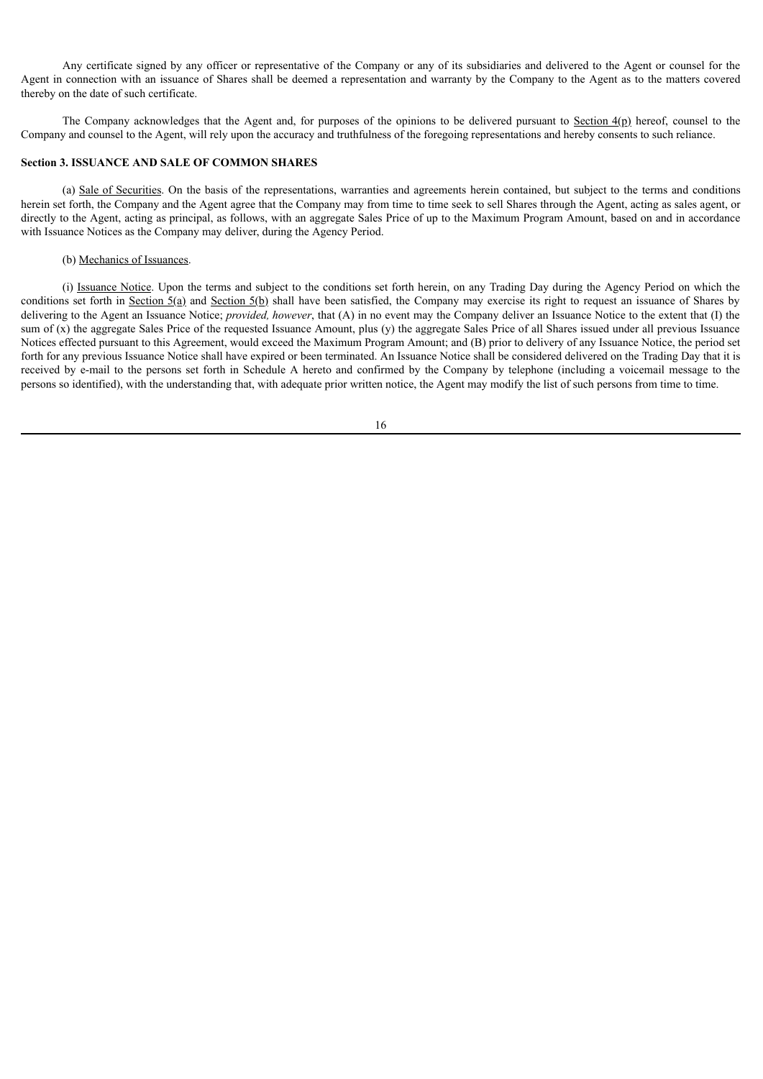Any certificate signed by any officer or representative of the Company or any of its subsidiaries and delivered to the Agent or counsel for the Agent in connection with an issuance of Shares shall be deemed a representation and warranty by the Company to the Agent as to the matters covered thereby on the date of such certificate.

The Company acknowledges that the Agent and, for purposes of the opinions to be delivered pursuant to Section 4(p) hereof, counsel to the Company and counsel to the Agent, will rely upon the accuracy and truthfulness of the foregoing representations and hereby consents to such reliance.

# **Section 3. ISSUANCE AND SALE OF COMMON SHARES**

(a) Sale of Securities. On the basis of the representations, warranties and agreements herein contained, but subject to the terms and conditions herein set forth, the Company and the Agent agree that the Company may from time to time seek to sell Shares through the Agent, acting as sales agent, or directly to the Agent, acting as principal, as follows, with an aggregate Sales Price of up to the Maximum Program Amount, based on and in accordance with Issuance Notices as the Company may deliver, during the Agency Period.

#### (b) Mechanics of Issuances.

(i) Issuance Notice. Upon the terms and subject to the conditions set forth herein, on any Trading Day during the Agency Period on which the conditions set forth in Section  $5(a)$  and Section  $5(b)$  shall have been satisfied, the Company may exercise its right to request an issuance of Shares by delivering to the Agent an Issuance Notice; *provided, however*, that (A) in no event may the Company deliver an Issuance Notice to the extent that (I) the sum of (x) the aggregate Sales Price of the requested Issuance Amount, plus (y) the aggregate Sales Price of all Shares issued under all previous Issuance Notices effected pursuant to this Agreement, would exceed the Maximum Program Amount; and (B) prior to delivery of any Issuance Notice, the period set forth for any previous Issuance Notice shall have expired or been terminated. An Issuance Notice shall be considered delivered on the Trading Day that it is received by e-mail to the persons set forth in Schedule A hereto and confirmed by the Company by telephone (including a voicemail message to the persons so identified), with the understanding that, with adequate prior written notice, the Agent may modify the list of such persons from time to time.

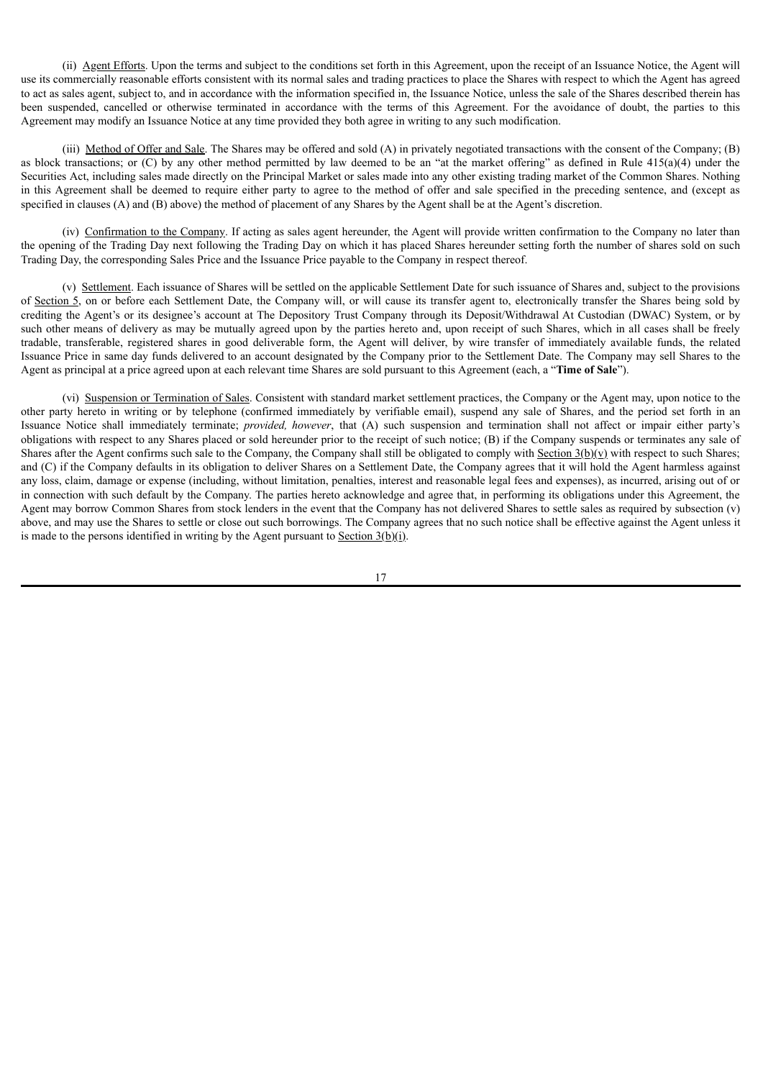(ii) Agent Efforts. Upon the terms and subject to the conditions set forth in this Agreement, upon the receipt of an Issuance Notice, the Agent will use its commercially reasonable efforts consistent with its normal sales and trading practices to place the Shares with respect to which the Agent has agreed to act as sales agent, subject to, and in accordance with the information specified in, the Issuance Notice, unless the sale of the Shares described therein has been suspended, cancelled or otherwise terminated in accordance with the terms of this Agreement. For the avoidance of doubt, the parties to this Agreement may modify an Issuance Notice at any time provided they both agree in writing to any such modification.

(iii) Method of Offer and Sale. The Shares may be offered and sold (A) in privately negotiated transactions with the consent of the Company; (B) as block transactions; or (C) by any other method permitted by law deemed to be an "at the market offering" as defined in Rule  $415(a)(4)$  under the Securities Act, including sales made directly on the Principal Market or sales made into any other existing trading market of the Common Shares. Nothing in this Agreement shall be deemed to require either party to agree to the method of offer and sale specified in the preceding sentence, and (except as specified in clauses (A) and (B) above) the method of placement of any Shares by the Agent shall be at the Agent's discretion.

(iv) Confirmation to the Company. If acting as sales agent hereunder, the Agent will provide written confirmation to the Company no later than the opening of the Trading Day next following the Trading Day on which it has placed Shares hereunder setting forth the number of shares sold on such Trading Day, the corresponding Sales Price and the Issuance Price payable to the Company in respect thereof.

(v) Settlement. Each issuance of Shares will be settled on the applicable Settlement Date for such issuance of Shares and, subject to the provisions of Section 5, on or before each Settlement Date, the Company will, or will cause its transfer agent to, electronically transfer the Shares being sold by crediting the Agent's or its designee's account at The Depository Trust Company through its Deposit/Withdrawal At Custodian (DWAC) System, or by such other means of delivery as may be mutually agreed upon by the parties hereto and, upon receipt of such Shares, which in all cases shall be freely tradable, transferable, registered shares in good deliverable form, the Agent will deliver, by wire transfer of immediately available funds, the related Issuance Price in same day funds delivered to an account designated by the Company prior to the Settlement Date. The Company may sell Shares to the Agent as principal at a price agreed upon at each relevant time Shares are sold pursuant to this Agreement (each, a "**Time of Sale**").

(vi) Suspension or Termination of Sales. Consistent with standard market settlement practices, the Company or the Agent may, upon notice to the other party hereto in writing or by telephone (confirmed immediately by verifiable email), suspend any sale of Shares, and the period set forth in an Issuance Notice shall immediately terminate; *provided, however*, that (A) such suspension and termination shall not affect or impair either party's obligations with respect to any Shares placed or sold hereunder prior to the receipt of such notice; (B) if the Company suspends or terminates any sale of Shares after the Agent confirms such sale to the Company, the Company shall still be obligated to comply with Section  $3(b)(v)$  with respect to such Shares; and (C) if the Company defaults in its obligation to deliver Shares on a Settlement Date, the Company agrees that it will hold the Agent harmless against any loss, claim, damage or expense (including, without limitation, penalties, interest and reasonable legal fees and expenses), as incurred, arising out of or in connection with such default by the Company. The parties hereto acknowledge and agree that, in performing its obligations under this Agreement, the Agent may borrow Common Shares from stock lenders in the event that the Company has not delivered Shares to settle sales as required by subsection (v) above, and may use the Shares to settle or close out such borrowings. The Company agrees that no such notice shall be effective against the Agent unless it is made to the persons identified in writing by the Agent pursuant to Section 3(b)(i).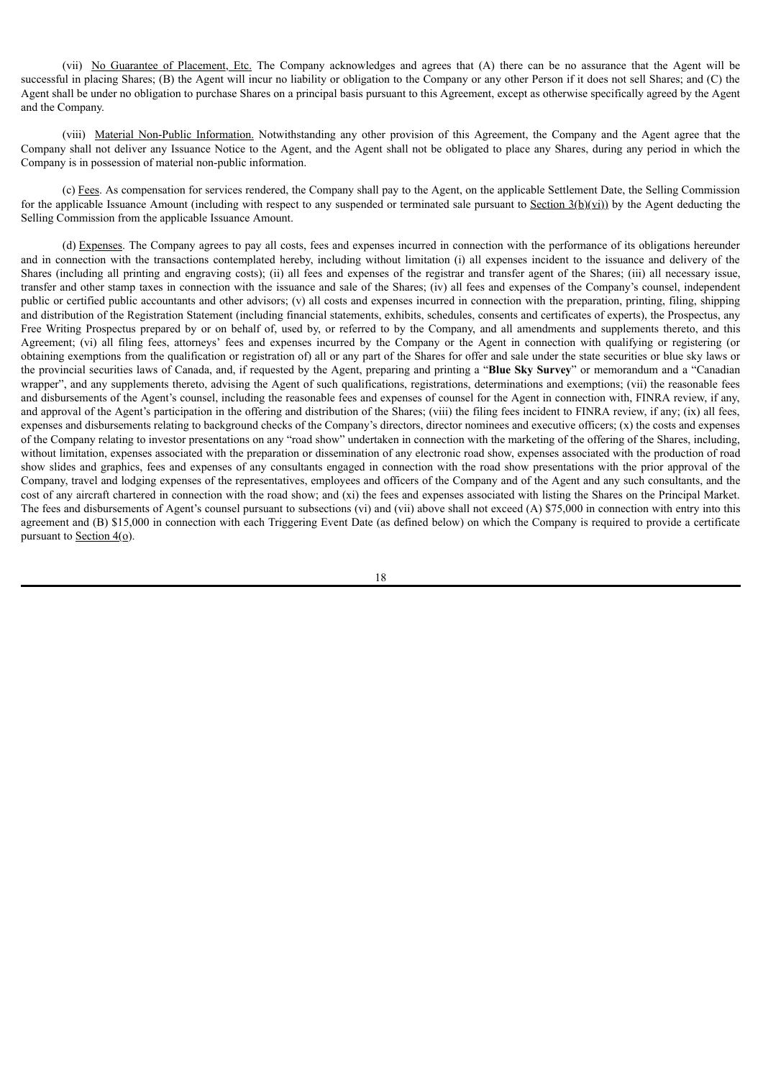(vii) No Guarantee of Placement, Etc. The Company acknowledges and agrees that (A) there can be no assurance that the Agent will be successful in placing Shares; (B) the Agent will incur no liability or obligation to the Company or any other Person if it does not sell Shares; and (C) the Agent shall be under no obligation to purchase Shares on a principal basis pursuant to this Agreement, except as otherwise specifically agreed by the Agent and the Company.

(viii) Material Non-Public Information. Notwithstanding any other provision of this Agreement, the Company and the Agent agree that the Company shall not deliver any Issuance Notice to the Agent, and the Agent shall not be obligated to place any Shares, during any period in which the Company is in possession of material non-public information.

(c) Fees. As compensation for services rendered, the Company shall pay to the Agent, on the applicable Settlement Date, the Selling Commission for the applicable Issuance Amount (including with respect to any suspended or terminated sale pursuant to Section  $3(b)(vi)$ ) by the Agent deducting the Selling Commission from the applicable Issuance Amount.

(d) Expenses. The Company agrees to pay all costs, fees and expenses incurred in connection with the performance of its obligations hereunder and in connection with the transactions contemplated hereby, including without limitation (i) all expenses incident to the issuance and delivery of the Shares (including all printing and engraving costs); (ii) all fees and expenses of the registrar and transfer agent of the Shares; (iii) all necessary issue, transfer and other stamp taxes in connection with the issuance and sale of the Shares; (iv) all fees and expenses of the Company's counsel, independent public or certified public accountants and other advisors; (v) all costs and expenses incurred in connection with the preparation, printing, filing, shipping and distribution of the Registration Statement (including financial statements, exhibits, schedules, consents and certificates of experts), the Prospectus, any Free Writing Prospectus prepared by or on behalf of, used by, or referred to by the Company, and all amendments and supplements thereto, and this Agreement; (vi) all filing fees, attorneys' fees and expenses incurred by the Company or the Agent in connection with qualifying or registering (or obtaining exemptions from the qualification or registration of) all or any part of the Shares for offer and sale under the state securities or blue sky laws or the provincial securities laws of Canada, and, if requested by the Agent, preparing and printing a "**Blue Sky Survey**" or memorandum and a "Canadian wrapper", and any supplements thereto, advising the Agent of such qualifications, registrations, determinations and exemptions; (vii) the reasonable fees and disbursements of the Agent's counsel, including the reasonable fees and expenses of counsel for the Agent in connection with, FINRA review, if any, and approval of the Agent's participation in the offering and distribution of the Shares; (viii) the filing fees incident to FINRA review, if any; (ix) all fees, expenses and disbursements relating to background checks of the Company's directors, director nominees and executive officers;  $(x)$  the costs and expenses of the Company relating to investor presentations on any "road show" undertaken in connection with the marketing of the offering of the Shares, including, without limitation, expenses associated with the preparation or dissemination of any electronic road show, expenses associated with the production of road show slides and graphics, fees and expenses of any consultants engaged in connection with the road show presentations with the prior approval of the Company, travel and lodging expenses of the representatives, employees and officers of the Company and of the Agent and any such consultants, and the cost of any aircraft chartered in connection with the road show; and (xi) the fees and expenses associated with listing the Shares on the Principal Market. The fees and disbursements of Agent's counsel pursuant to subsections (vi) and (vii) above shall not exceed (A) \$75,000 in connection with entry into this agreement and (B) \$15,000 in connection with each Triggering Event Date (as defined below) on which the Company is required to provide a certificate pursuant to Section 4(o).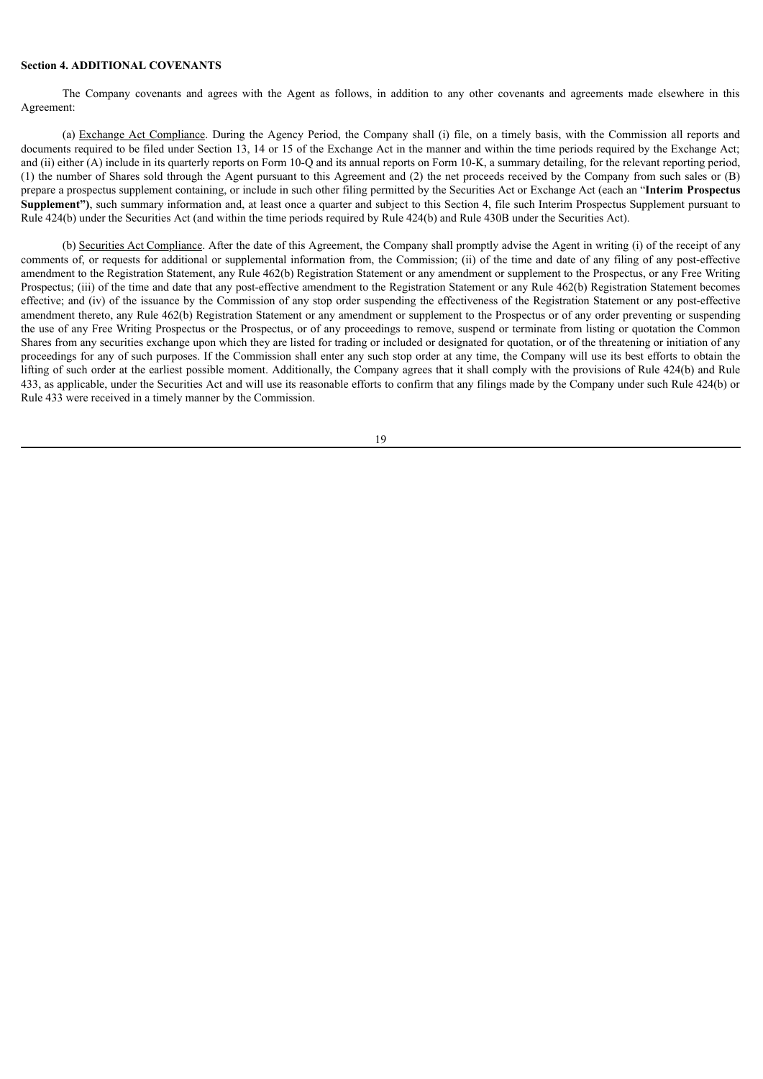## **Section 4. ADDITIONAL COVENANTS**

The Company covenants and agrees with the Agent as follows, in addition to any other covenants and agreements made elsewhere in this Agreement:

(a) Exchange Act Compliance. During the Agency Period, the Company shall (i) file, on a timely basis, with the Commission all reports and documents required to be filed under Section 13, 14 or 15 of the Exchange Act in the manner and within the time periods required by the Exchange Act; and (ii) either (A) include in its quarterly reports on Form 10-Q and its annual reports on Form 10-K, a summary detailing, for the relevant reporting period, (1) the number of Shares sold through the Agent pursuant to this Agreement and (2) the net proceeds received by the Company from such sales or (B) prepare a prospectus supplement containing, or include in such other filing permitted by the Securities Act or Exchange Act (each an "**Interim Prospectus Supplement")**, such summary information and, at least once a quarter and subject to this Section 4, file such Interim Prospectus Supplement pursuant to Rule 424(b) under the Securities Act (and within the time periods required by Rule 424(b) and Rule 430B under the Securities Act).

(b) Securities Act Compliance. After the date of this Agreement, the Company shall promptly advise the Agent in writing (i) of the receipt of any comments of, or requests for additional or supplemental information from, the Commission; (ii) of the time and date of any filing of any post-effective amendment to the Registration Statement, any Rule 462(b) Registration Statement or any amendment or supplement to the Prospectus, or any Free Writing Prospectus; (iii) of the time and date that any post-effective amendment to the Registration Statement or any Rule 462(b) Registration Statement becomes effective; and (iv) of the issuance by the Commission of any stop order suspending the effectiveness of the Registration Statement or any post-effective amendment thereto, any Rule 462(b) Registration Statement or any amendment or supplement to the Prospectus or of any order preventing or suspending the use of any Free Writing Prospectus or the Prospectus, or of any proceedings to remove, suspend or terminate from listing or quotation the Common Shares from any securities exchange upon which they are listed for trading or included or designated for quotation, or of the threatening or initiation of any proceedings for any of such purposes. If the Commission shall enter any such stop order at any time, the Company will use its best efforts to obtain the lifting of such order at the earliest possible moment. Additionally, the Company agrees that it shall comply with the provisions of Rule 424(b) and Rule 433, as applicable, under the Securities Act and will use its reasonable efforts to confirm that any filings made by the Company under such Rule 424(b) or Rule 433 were received in a timely manner by the Commission.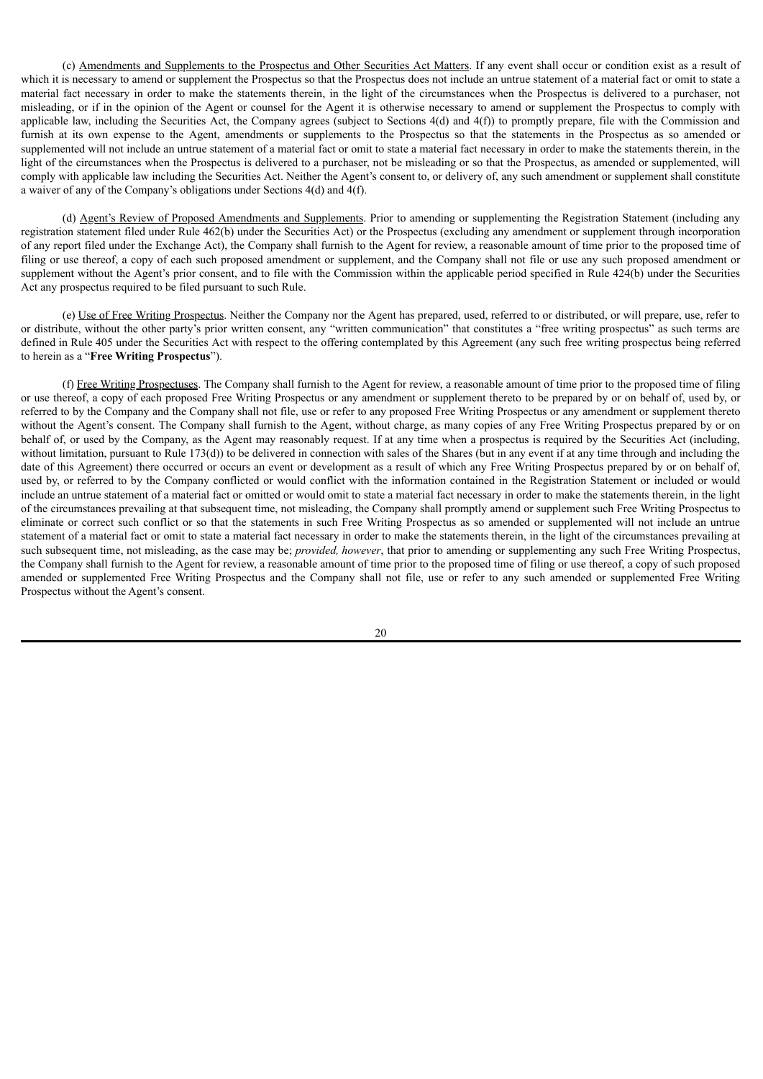(c) Amendments and Supplements to the Prospectus and Other Securities Act Matters. If any event shall occur or condition exist as a result of which it is necessary to amend or supplement the Prospectus so that the Prospectus does not include an untrue statement of a material fact or omit to state a material fact necessary in order to make the statements therein, in the light of the circumstances when the Prospectus is delivered to a purchaser, not misleading, or if in the opinion of the Agent or counsel for the Agent it is otherwise necessary to amend or supplement the Prospectus to comply with applicable law, including the Securities Act, the Company agrees (subject to Sections  $4(d)$  and  $4(f)$ ) to promptly prepare, file with the Commission and furnish at its own expense to the Agent, amendments or supplements to the Prospectus so that the statements in the Prospectus as so amended or supplemented will not include an untrue statement of a material fact or omit to state a material fact necessary in order to make the statements therein, in the light of the circumstances when the Prospectus is delivered to a purchaser, not be misleading or so that the Prospectus, as amended or supplemented, will comply with applicable law including the Securities Act. Neither the Agent's consent to, or delivery of, any such amendment or supplement shall constitute a waiver of any of the Company's obligations under Sections 4(d) and 4(f).

(d) Agent's Review of Proposed Amendments and Supplements. Prior to amending or supplementing the Registration Statement (including any registration statement filed under Rule 462(b) under the Securities Act) or the Prospectus (excluding any amendment or supplement through incorporation of any report filed under the Exchange Act), the Company shall furnish to the Agent for review, a reasonable amount of time prior to the proposed time of filing or use thereof, a copy of each such proposed amendment or supplement, and the Company shall not file or use any such proposed amendment or supplement without the Agent's prior consent, and to file with the Commission within the applicable period specified in Rule 424(b) under the Securities Act any prospectus required to be filed pursuant to such Rule.

(e) Use of Free Writing Prospectus. Neither the Company nor the Agent has prepared, used, referred to or distributed, or will prepare, use, refer to or distribute, without the other party's prior written consent, any "written communication" that constitutes a "free writing prospectus" as such terms are defined in Rule 405 under the Securities Act with respect to the offering contemplated by this Agreement (any such free writing prospectus being referred to herein as a "**Free Writing Prospectus**").

(f) Free Writing Prospectuses. The Company shall furnish to the Agent for review, a reasonable amount of time prior to the proposed time of filing or use thereof, a copy of each proposed Free Writing Prospectus or any amendment or supplement thereto to be prepared by or on behalf of, used by, or referred to by the Company and the Company shall not file, use or refer to any proposed Free Writing Prospectus or any amendment or supplement thereto without the Agent's consent. The Company shall furnish to the Agent, without charge, as many copies of any Free Writing Prospectus prepared by or on behalf of, or used by the Company, as the Agent may reasonably request. If at any time when a prospectus is required by the Securities Act (including, without limitation, pursuant to Rule 173(d)) to be delivered in connection with sales of the Shares (but in any event if at any time through and including the date of this Agreement) there occurred or occurs an event or development as a result of which any Free Writing Prospectus prepared by or on behalf of, used by, or referred to by the Company conflicted or would conflict with the information contained in the Registration Statement or included or would include an untrue statement of a material fact or omitted or would omit to state a material fact necessary in order to make the statements therein, in the light of the circumstances prevailing at that subsequent time, not misleading, the Company shall promptly amend or supplement such Free Writing Prospectus to eliminate or correct such conflict or so that the statements in such Free Writing Prospectus as so amended or supplemented will not include an untrue statement of a material fact or omit to state a material fact necessary in order to make the statements therein, in the light of the circumstances prevailing at such subsequent time, not misleading, as the case may be; *provided, however*, that prior to amending or supplementing any such Free Writing Prospectus, the Company shall furnish to the Agent for review, a reasonable amount of time prior to the proposed time of filing or use thereof, a copy of such proposed amended or supplemented Free Writing Prospectus and the Company shall not file, use or refer to any such amended or supplemented Free Writing Prospectus without the Agent's consent.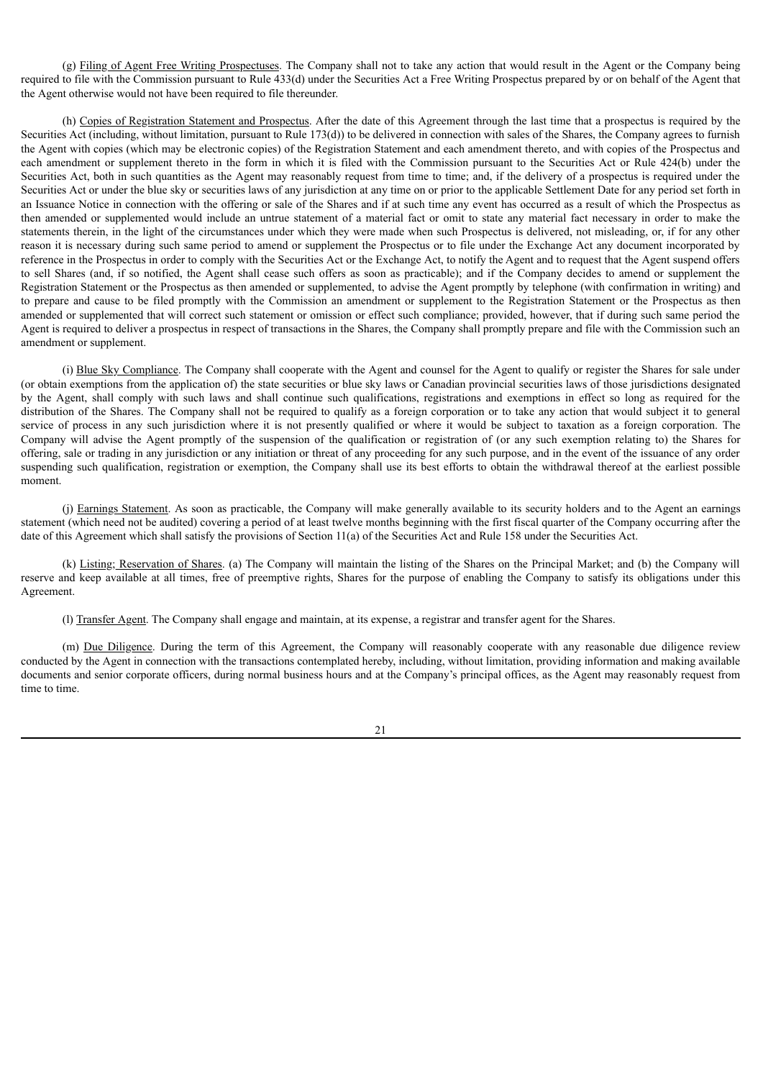(g) Filing of Agent Free Writing Prospectuses. The Company shall not to take any action that would result in the Agent or the Company being required to file with the Commission pursuant to Rule 433(d) under the Securities Act a Free Writing Prospectus prepared by or on behalf of the Agent that the Agent otherwise would not have been required to file thereunder.

(h) Copies of Registration Statement and Prospectus. After the date of this Agreement through the last time that a prospectus is required by the Securities Act (including, without limitation, pursuant to Rule 173(d)) to be delivered in connection with sales of the Shares, the Company agrees to furnish the Agent with copies (which may be electronic copies) of the Registration Statement and each amendment thereto, and with copies of the Prospectus and each amendment or supplement thereto in the form in which it is filed with the Commission pursuant to the Securities Act or Rule 424(b) under the Securities Act, both in such quantities as the Agent may reasonably request from time to time; and, if the delivery of a prospectus is required under the Securities Act or under the blue sky or securities laws of any jurisdiction at any time on or prior to the applicable Settlement Date for any period set forth in an Issuance Notice in connection with the offering or sale of the Shares and if at such time any event has occurred as a result of which the Prospectus as then amended or supplemented would include an untrue statement of a material fact or omit to state any material fact necessary in order to make the statements therein, in the light of the circumstances under which they were made when such Prospectus is delivered, not misleading, or, if for any other reason it is necessary during such same period to amend or supplement the Prospectus or to file under the Exchange Act any document incorporated by reference in the Prospectus in order to comply with the Securities Act or the Exchange Act, to notify the Agent and to request that the Agent suspend offers to sell Shares (and, if so notified, the Agent shall cease such offers as soon as practicable); and if the Company decides to amend or supplement the Registration Statement or the Prospectus as then amended or supplemented, to advise the Agent promptly by telephone (with confirmation in writing) and to prepare and cause to be filed promptly with the Commission an amendment or supplement to the Registration Statement or the Prospectus as then amended or supplemented that will correct such statement or omission or effect such compliance; provided, however, that if during such same period the Agent is required to deliver a prospectus in respect of transactions in the Shares, the Company shall promptly prepare and file with the Commission such an amendment or supplement.

(i) Blue Sky Compliance. The Company shall cooperate with the Agent and counsel for the Agent to qualify or register the Shares for sale under (or obtain exemptions from the application of) the state securities or blue sky laws or Canadian provincial securities laws of those jurisdictions designated by the Agent, shall comply with such laws and shall continue such qualifications, registrations and exemptions in effect so long as required for the distribution of the Shares. The Company shall not be required to qualify as a foreign corporation or to take any action that would subject it to general service of process in any such jurisdiction where it is not presently qualified or where it would be subject to taxation as a foreign corporation. The Company will advise the Agent promptly of the suspension of the qualification or registration of (or any such exemption relating to) the Shares for offering, sale or trading in any jurisdiction or any initiation or threat of any proceeding for any such purpose, and in the event of the issuance of any order suspending such qualification, registration or exemption, the Company shall use its best efforts to obtain the withdrawal thereof at the earliest possible moment.

(j) Earnings Statement. As soon as practicable, the Company will make generally available to its security holders and to the Agent an earnings statement (which need not be audited) covering a period of at least twelve months beginning with the first fiscal quarter of the Company occurring after the date of this Agreement which shall satisfy the provisions of Section 11(a) of the Securities Act and Rule 158 under the Securities Act.

(k) Listing; Reservation of Shares. (a) The Company will maintain the listing of the Shares on the Principal Market; and (b) the Company will reserve and keep available at all times, free of preemptive rights, Shares for the purpose of enabling the Company to satisfy its obligations under this Agreement.

(l) Transfer Agent. The Company shall engage and maintain, at its expense, a registrar and transfer agent for the Shares.

(m) Due Diligence. During the term of this Agreement, the Company will reasonably cooperate with any reasonable due diligence review conducted by the Agent in connection with the transactions contemplated hereby, including, without limitation, providing information and making available documents and senior corporate officers, during normal business hours and at the Company's principal offices, as the Agent may reasonably request from time to time.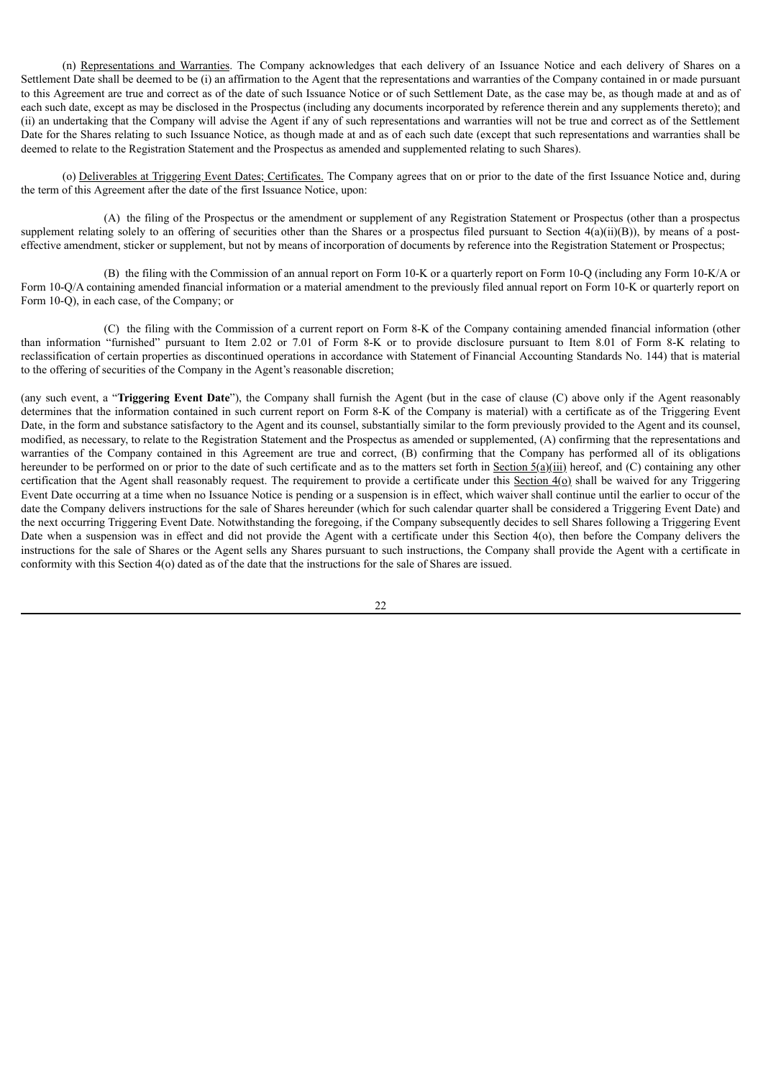(n) Representations and Warranties. The Company acknowledges that each delivery of an Issuance Notice and each delivery of Shares on a Settlement Date shall be deemed to be (i) an affirmation to the Agent that the representations and warranties of the Company contained in or made pursuant to this Agreement are true and correct as of the date of such Issuance Notice or of such Settlement Date, as the case may be, as though made at and as of each such date, except as may be disclosed in the Prospectus (including any documents incorporated by reference therein and any supplements thereto); and (ii) an undertaking that the Company will advise the Agent if any of such representations and warranties will not be true and correct as of the Settlement Date for the Shares relating to such Issuance Notice, as though made at and as of each such date (except that such representations and warranties shall be deemed to relate to the Registration Statement and the Prospectus as amended and supplemented relating to such Shares).

(o) Deliverables at Triggering Event Dates; Certificates. The Company agrees that on or prior to the date of the first Issuance Notice and, during the term of this Agreement after the date of the first Issuance Notice, upon:

(A) the filing of the Prospectus or the amendment or supplement of any Registration Statement or Prospectus (other than a prospectus supplement relating solely to an offering of securities other than the Shares or a prospectus filed pursuant to Section  $4(a)(ii)(B)$ , by means of a posteffective amendment, sticker or supplement, but not by means of incorporation of documents by reference into the Registration Statement or Prospectus;

(B) the filing with the Commission of an annual report on Form 10-K or a quarterly report on Form 10-Q (including any Form 10-K/A or Form 10-Q/A containing amended financial information or a material amendment to the previously filed annual report on Form 10-K or quarterly report on Form 10-Q), in each case, of the Company; or

(C) the filing with the Commission of a current report on Form 8-K of the Company containing amended financial information (other than information "furnished" pursuant to Item 2.02 or 7.01 of Form 8-K or to provide disclosure pursuant to Item 8.01 of Form 8-K relating to reclassification of certain properties as discontinued operations in accordance with Statement of Financial Accounting Standards No. 144) that is material to the offering of securities of the Company in the Agent's reasonable discretion;

(any such event, a "**Triggering Event Date**"), the Company shall furnish the Agent (but in the case of clause (C) above only if the Agent reasonably determines that the information contained in such current report on Form 8-K of the Company is material) with a certificate as of the Triggering Event Date, in the form and substance satisfactory to the Agent and its counsel, substantially similar to the form previously provided to the Agent and its counsel, modified, as necessary, to relate to the Registration Statement and the Prospectus as amended or supplemented, (A) confirming that the representations and warranties of the Company contained in this Agreement are true and correct, (B) confirming that the Company has performed all of its obligations hereunder to be performed on or prior to the date of such certificate and as to the matters set forth in Section  $5(a)(iii)$  hereof, and (C) containing any other certification that the Agent shall reasonably request. The requirement to provide a certificate under this Section  $4(\Omega)$  shall be waived for any Triggering Event Date occurring at a time when no Issuance Notice is pending or a suspension is in effect, which waiver shall continue until the earlier to occur of the date the Company delivers instructions for the sale of Shares hereunder (which for such calendar quarter shall be considered a Triggering Event Date) and the next occurring Triggering Event Date. Notwithstanding the foregoing, if the Company subsequently decides to sell Shares following a Triggering Event Date when a suspension was in effect and did not provide the Agent with a certificate under this Section 4(o), then before the Company delivers the instructions for the sale of Shares or the Agent sells any Shares pursuant to such instructions, the Company shall provide the Agent with a certificate in conformity with this Section 4(o) dated as of the date that the instructions for the sale of Shares are issued.

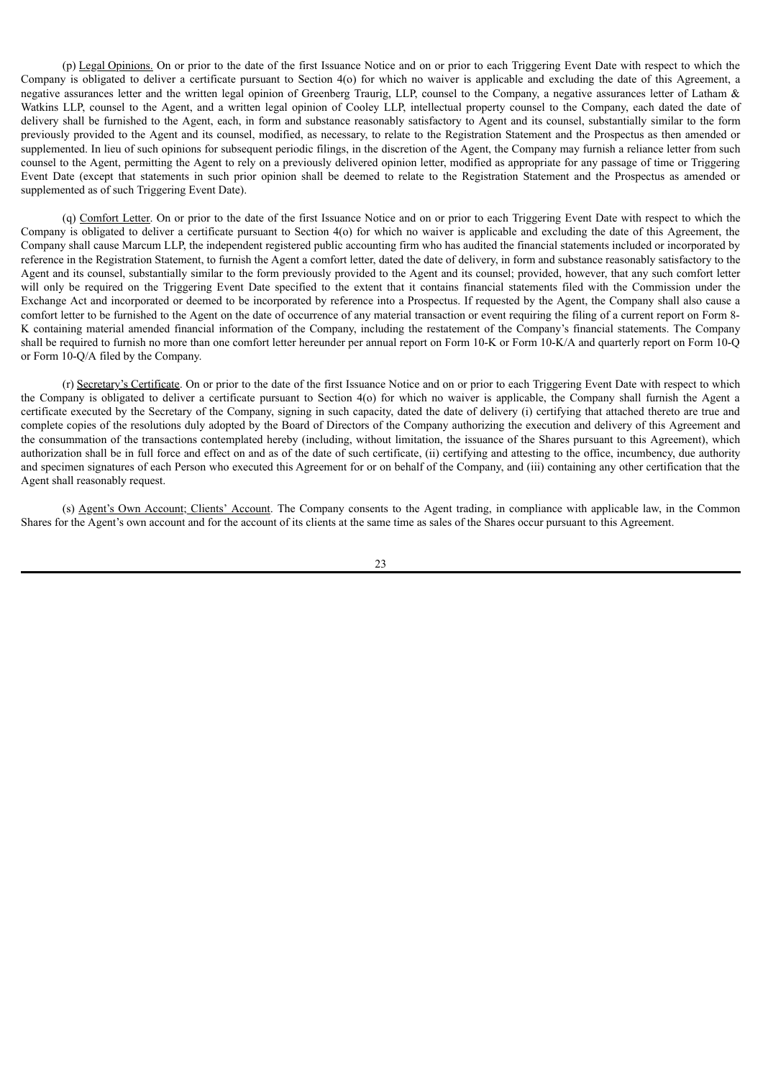(p) Legal Opinions. On or prior to the date of the first Issuance Notice and on or prior to each Triggering Event Date with respect to which the Company is obligated to deliver a certificate pursuant to Section 4(o) for which no waiver is applicable and excluding the date of this Agreement, a negative assurances letter and the written legal opinion of Greenberg Traurig, LLP, counsel to the Company, a negative assurances letter of Latham & Watkins LLP, counsel to the Agent, and a written legal opinion of Cooley LLP, intellectual property counsel to the Company, each dated the date of delivery shall be furnished to the Agent, each, in form and substance reasonably satisfactory to Agent and its counsel, substantially similar to the form previously provided to the Agent and its counsel, modified, as necessary, to relate to the Registration Statement and the Prospectus as then amended or supplemented. In lieu of such opinions for subsequent periodic filings, in the discretion of the Agent, the Company may furnish a reliance letter from such counsel to the Agent, permitting the Agent to rely on a previously delivered opinion letter, modified as appropriate for any passage of time or Triggering Event Date (except that statements in such prior opinion shall be deemed to relate to the Registration Statement and the Prospectus as amended or supplemented as of such Triggering Event Date).

(q) Comfort Letter. On or prior to the date of the first Issuance Notice and on or prior to each Triggering Event Date with respect to which the Company is obligated to deliver a certificate pursuant to Section 4(o) for which no waiver is applicable and excluding the date of this Agreement, the Company shall cause Marcum LLP, the independent registered public accounting firm who has audited the financial statements included or incorporated by reference in the Registration Statement, to furnish the Agent a comfort letter, dated the date of delivery, in form and substance reasonably satisfactory to the Agent and its counsel, substantially similar to the form previously provided to the Agent and its counsel; provided, however, that any such comfort letter will only be required on the Triggering Event Date specified to the extent that it contains financial statements filed with the Commission under the Exchange Act and incorporated or deemed to be incorporated by reference into a Prospectus. If requested by the Agent, the Company shall also cause a comfort letter to be furnished to the Agent on the date of occurrence of any material transaction or event requiring the filing of a current report on Form 8- K containing material amended financial information of the Company, including the restatement of the Company's financial statements. The Company shall be required to furnish no more than one comfort letter hereunder per annual report on Form 10-K or Form 10-K/A and quarterly report on Form 10-Q or Form 10-Q/A filed by the Company.

(r) Secretary's Certificate. On or prior to the date of the first Issuance Notice and on or prior to each Triggering Event Date with respect to which the Company is obligated to deliver a certificate pursuant to Section 4(o) for which no waiver is applicable, the Company shall furnish the Agent a certificate executed by the Secretary of the Company, signing in such capacity, dated the date of delivery (i) certifying that attached thereto are true and complete copies of the resolutions duly adopted by the Board of Directors of the Company authorizing the execution and delivery of this Agreement and the consummation of the transactions contemplated hereby (including, without limitation, the issuance of the Shares pursuant to this Agreement), which authorization shall be in full force and effect on and as of the date of such certificate, (ii) certifying and attesting to the office, incumbency, due authority and specimen signatures of each Person who executed this Agreement for or on behalf of the Company, and (iii) containing any other certification that the Agent shall reasonably request.

(s) Agent's Own Account; Clients' Account. The Company consents to the Agent trading, in compliance with applicable law, in the Common Shares for the Agent's own account and for the account of its clients at the same time as sales of the Shares occur pursuant to this Agreement.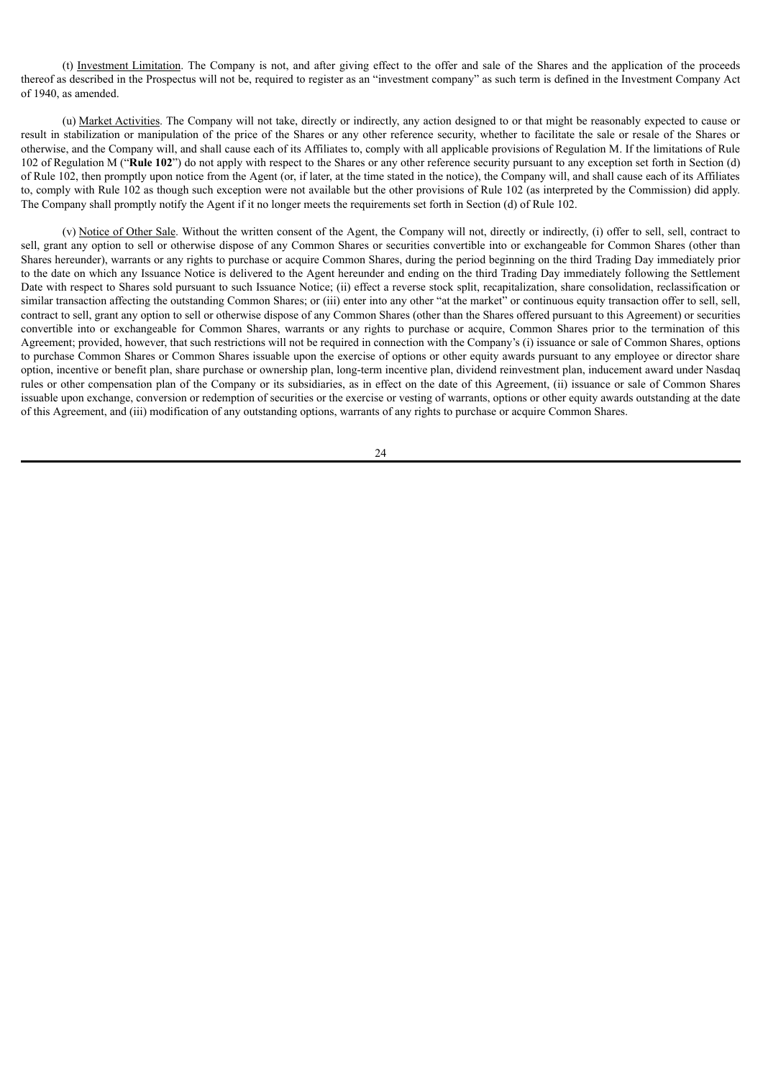(t) Investment Limitation. The Company is not, and after giving effect to the offer and sale of the Shares and the application of the proceeds thereof as described in the Prospectus will not be, required to register as an "investment company" as such term is defined in the Investment Company Act of 1940, as amended.

(u) Market Activities. The Company will not take, directly or indirectly, any action designed to or that might be reasonably expected to cause or result in stabilization or manipulation of the price of the Shares or any other reference security, whether to facilitate the sale or resale of the Shares or otherwise, and the Company will, and shall cause each of its Affiliates to, comply with all applicable provisions of Regulation M. If the limitations of Rule 102 of Regulation M ("**Rule 102**") do not apply with respect to the Shares or any other reference security pursuant to any exception set forth in Section (d) of Rule 102, then promptly upon notice from the Agent (or, if later, at the time stated in the notice), the Company will, and shall cause each of its Affiliates to, comply with Rule 102 as though such exception were not available but the other provisions of Rule 102 (as interpreted by the Commission) did apply. The Company shall promptly notify the Agent if it no longer meets the requirements set forth in Section (d) of Rule 102.

(v) Notice of Other Sale. Without the written consent of the Agent, the Company will not, directly or indirectly, (i) offer to sell, sell, contract to sell, grant any option to sell or otherwise dispose of any Common Shares or securities convertible into or exchangeable for Common Shares (other than Shares hereunder), warrants or any rights to purchase or acquire Common Shares, during the period beginning on the third Trading Day immediately prior to the date on which any Issuance Notice is delivered to the Agent hereunder and ending on the third Trading Day immediately following the Settlement Date with respect to Shares sold pursuant to such Issuance Notice; (ii) effect a reverse stock split, recapitalization, share consolidation, reclassification or similar transaction affecting the outstanding Common Shares; or (iii) enter into any other "at the market" or continuous equity transaction offer to sell, sell, contract to sell, grant any option to sell or otherwise dispose of any Common Shares (other than the Shares offered pursuant to this Agreement) or securities convertible into or exchangeable for Common Shares, warrants or any rights to purchase or acquire, Common Shares prior to the termination of this Agreement; provided, however, that such restrictions will not be required in connection with the Company's (i) issuance or sale of Common Shares, options to purchase Common Shares or Common Shares issuable upon the exercise of options or other equity awards pursuant to any employee or director share option, incentive or benefit plan, share purchase or ownership plan, long-term incentive plan, dividend reinvestment plan, inducement award under Nasdaq rules or other compensation plan of the Company or its subsidiaries, as in effect on the date of this Agreement, (ii) issuance or sale of Common Shares issuable upon exchange, conversion or redemption of securities or the exercise or vesting of warrants, options or other equity awards outstanding at the date of this Agreement, and (iii) modification of any outstanding options, warrants of any rights to purchase or acquire Common Shares.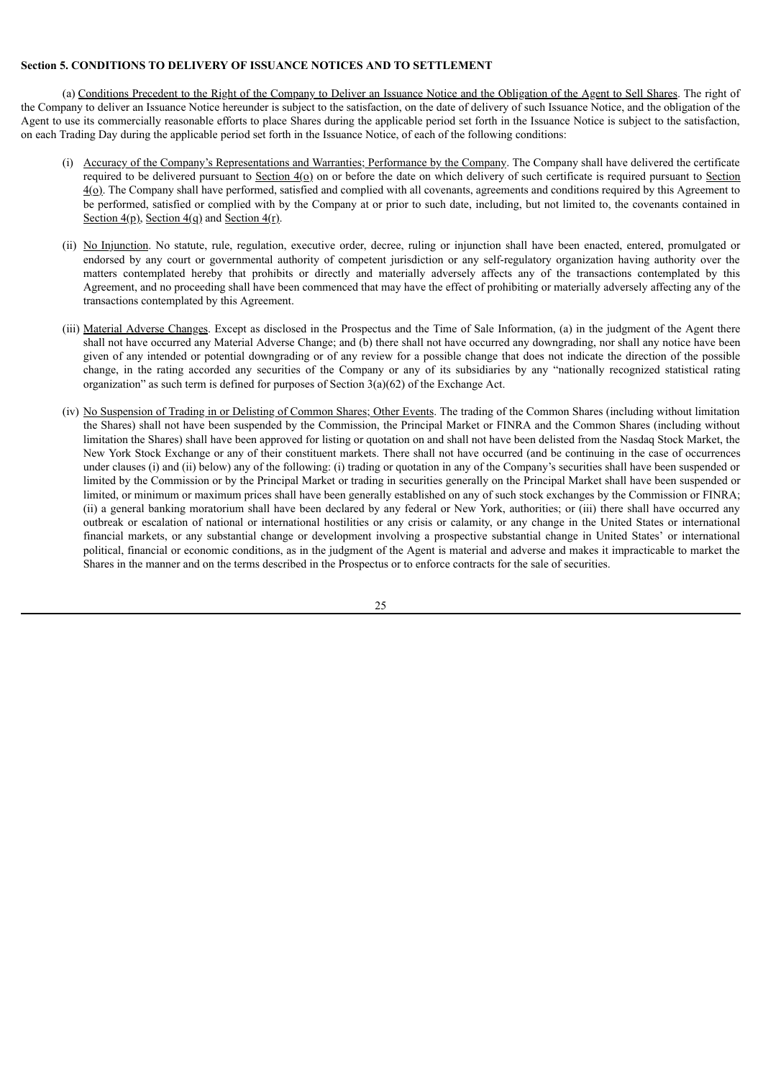# **Section 5. CONDITIONS TO DELIVERY OF ISSUANCE NOTICES AND TO SETTLEMENT**

(a) Conditions Precedent to the Right of the Company to Deliver an Issuance Notice and the Obligation of the Agent to Sell Shares. The right of the Company to deliver an Issuance Notice hereunder is subject to the satisfaction, on the date of delivery of such Issuance Notice, and the obligation of the Agent to use its commercially reasonable efforts to place Shares during the applicable period set forth in the Issuance Notice is subject to the satisfaction, on each Trading Day during the applicable period set forth in the Issuance Notice, of each of the following conditions:

- (i) Accuracy of the Company's Representations and Warranties; Performance by the Company. The Company shall have delivered the certificate required to be delivered pursuant to Section 4(o) on or before the date on which delivery of such certificate is required pursuant to Section  $4(\Omega)$ . The Company shall have performed, satisfied and complied with all covenants, agreements and conditions required by this Agreement to be performed, satisfied or complied with by the Company at or prior to such date, including, but not limited to, the covenants contained in Section  $4(p)$ , Section  $4(q)$  and Section  $4(r)$ .
- (ii) No Injunction. No statute, rule, regulation, executive order, decree, ruling or injunction shall have been enacted, entered, promulgated or endorsed by any court or governmental authority of competent jurisdiction or any self-regulatory organization having authority over the matters contemplated hereby that prohibits or directly and materially adversely affects any of the transactions contemplated by this Agreement, and no proceeding shall have been commenced that may have the effect of prohibiting or materially adversely affecting any of the transactions contemplated by this Agreement.
- (iii) Material Adverse Changes. Except as disclosed in the Prospectus and the Time of Sale Information, (a) in the judgment of the Agent there shall not have occurred any Material Adverse Change; and (b) there shall not have occurred any downgrading, nor shall any notice have been given of any intended or potential downgrading or of any review for a possible change that does not indicate the direction of the possible change, in the rating accorded any securities of the Company or any of its subsidiaries by any "nationally recognized statistical rating organization" as such term is defined for purposes of Section  $3(a)(62)$  of the Exchange Act.
- (iv) No Suspension of Trading in or Delisting of Common Shares; Other Events. The trading of the Common Shares (including without limitation the Shares) shall not have been suspended by the Commission, the Principal Market or FINRA and the Common Shares (including without limitation the Shares) shall have been approved for listing or quotation on and shall not have been delisted from the Nasdaq Stock Market, the New York Stock Exchange or any of their constituent markets. There shall not have occurred (and be continuing in the case of occurrences under clauses (i) and (ii) below) any of the following: (i) trading or quotation in any of the Company's securities shall have been suspended or limited by the Commission or by the Principal Market or trading in securities generally on the Principal Market shall have been suspended or limited, or minimum or maximum prices shall have been generally established on any of such stock exchanges by the Commission or FINRA; (ii) a general banking moratorium shall have been declared by any federal or New York, authorities; or (iii) there shall have occurred any outbreak or escalation of national or international hostilities or any crisis or calamity, or any change in the United States or international financial markets, or any substantial change or development involving a prospective substantial change in United States' or international political, financial or economic conditions, as in the judgment of the Agent is material and adverse and makes it impracticable to market the Shares in the manner and on the terms described in the Prospectus or to enforce contracts for the sale of securities.

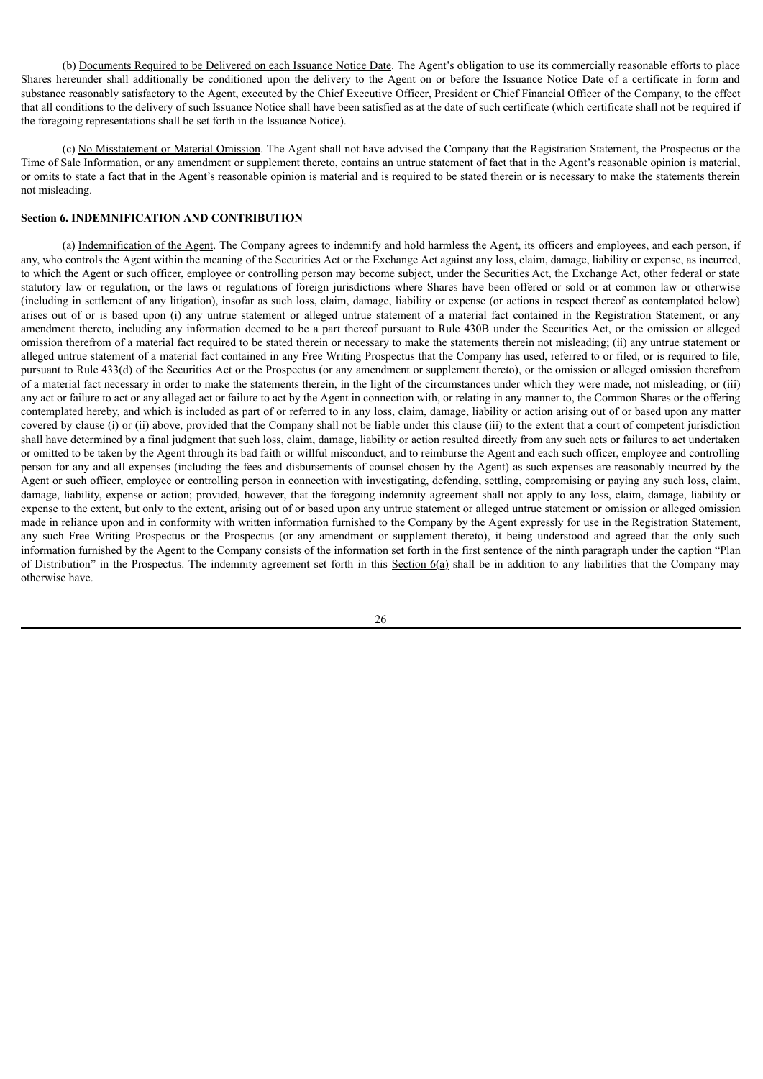(b) Documents Required to be Delivered on each Issuance Notice Date. The Agent's obligation to use its commercially reasonable efforts to place Shares hereunder shall additionally be conditioned upon the delivery to the Agent on or before the Issuance Notice Date of a certificate in form and substance reasonably satisfactory to the Agent, executed by the Chief Executive Officer, President or Chief Financial Officer of the Company, to the effect that all conditions to the delivery of such Issuance Notice shall have been satisfied as at the date of such certificate (which certificate shall not be required if the foregoing representations shall be set forth in the Issuance Notice).

(c) No Misstatement or Material Omission. The Agent shall not have advised the Company that the Registration Statement, the Prospectus or the Time of Sale Information, or any amendment or supplement thereto, contains an untrue statement of fact that in the Agent's reasonable opinion is material, or omits to state a fact that in the Agent's reasonable opinion is material and is required to be stated therein or is necessary to make the statements therein not misleading.

# **Section 6. INDEMNIFICATION AND CONTRIBUTION**

(a) Indemnification of the Agent. The Company agrees to indemnify and hold harmless the Agent, its officers and employees, and each person, if any, who controls the Agent within the meaning of the Securities Act or the Exchange Act against any loss, claim, damage, liability or expense, as incurred, to which the Agent or such officer, employee or controlling person may become subject, under the Securities Act, the Exchange Act, other federal or state statutory law or regulation, or the laws or regulations of foreign jurisdictions where Shares have been offered or sold or at common law or otherwise (including in settlement of any litigation), insofar as such loss, claim, damage, liability or expense (or actions in respect thereof as contemplated below) arises out of or is based upon (i) any untrue statement or alleged untrue statement of a material fact contained in the Registration Statement, or any amendment thereto, including any information deemed to be a part thereof pursuant to Rule 430B under the Securities Act, or the omission or alleged omission therefrom of a material fact required to be stated therein or necessary to make the statements therein not misleading; (ii) any untrue statement or alleged untrue statement of a material fact contained in any Free Writing Prospectus that the Company has used, referred to or filed, or is required to file, pursuant to Rule 433(d) of the Securities Act or the Prospectus (or any amendment or supplement thereto), or the omission or alleged omission therefrom of a material fact necessary in order to make the statements therein, in the light of the circumstances under which they were made, not misleading; or (iii) any act or failure to act or any alleged act or failure to act by the Agent in connection with, or relating in any manner to, the Common Shares or the offering contemplated hereby, and which is included as part of or referred to in any loss, claim, damage, liability or action arising out of or based upon any matter covered by clause (i) or (ii) above, provided that the Company shall not be liable under this clause (iii) to the extent that a court of competent jurisdiction shall have determined by a final judgment that such loss, claim, damage, liability or action resulted directly from any such acts or failures to act undertaken or omitted to be taken by the Agent through its bad faith or willful misconduct, and to reimburse the Agent and each such officer, employee and controlling person for any and all expenses (including the fees and disbursements of counsel chosen by the Agent) as such expenses are reasonably incurred by the Agent or such officer, employee or controlling person in connection with investigating, defending, settling, compromising or paying any such loss, claim, damage, liability, expense or action; provided, however, that the foregoing indemnity agreement shall not apply to any loss, claim, damage, liability or expense to the extent, but only to the extent, arising out of or based upon any untrue statement or alleged untrue statement or omission or alleged omission made in reliance upon and in conformity with written information furnished to the Company by the Agent expressly for use in the Registration Statement, any such Free Writing Prospectus or the Prospectus (or any amendment or supplement thereto), it being understood and agreed that the only such information furnished by the Agent to the Company consists of the information set forth in the first sentence of the ninth paragraph under the caption "Plan of Distribution" in the Prospectus. The indemnity agreement set forth in this Section  $6(a)$  shall be in addition to any liabilities that the Company may otherwise have.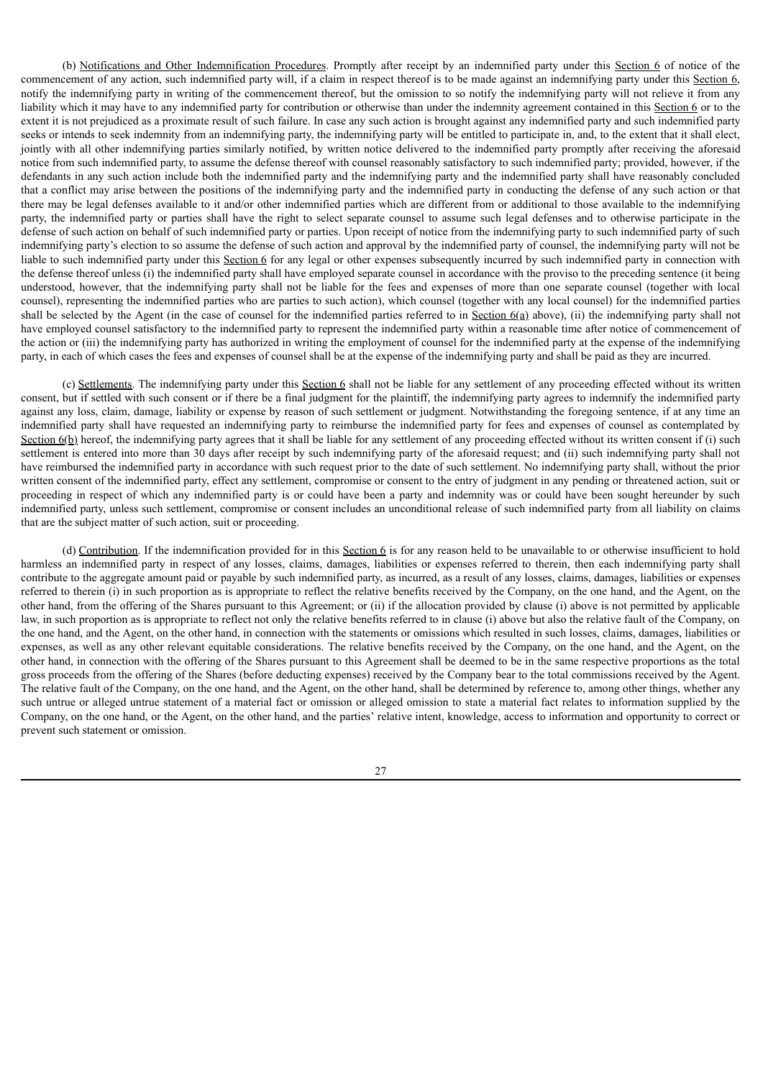(b) Notifications and Other Indemnification Procedures. Promptly after receipt by an indemnified party under this Section 6 of notice of the commencement of any action, such indemnified party will, if a claim in respect thereof is to be made against an indemnifying party under this Section 6, notify the indemnifying party in writing of the commencement thereof, but the omission to so notify the indemnifying party will not relieve it from any liability which it may have to any indemnified party for contribution or otherwise than under the indemnity agreement contained in this Section 6 or to the extent it is not prejudiced as a proximate result of such failure. In case any such action is brought against any indemnified party and such indemnified party seeks or intends to seek indemnity from an indemnifying party, the indemnifying party will be entitled to participate in, and, to the extent that it shall elect, jointly with all other indemnifying parties similarly notified, by written notice delivered to the indemnified party promptly after receiving the aforesaid notice from such indemnified party, to assume the defense thereof with counsel reasonably satisfactory to such indemnified party; provided, however, if the defendants in any such action include both the indemnified party and the indemnifying party and the indemnified party shall have reasonably concluded that a conflict may arise between the positions of the indemnifying party and the indemnified party in conducting the defense of any such action or that there may be legal defenses available to it and/or other indemnified parties which are different from or additional to those available to the indemnifying party, the indemnified party or parties shall have the right to select separate counsel to assume such legal defenses and to otherwise participate in the defense of such action on behalf of such indemnified party or parties. Upon receipt of notice from the indemnifying party to such indemnified party of such indemnifying party's election to so assume the defense of such action and approval by the indemnified party of counsel, the indemnifying party will not be liable to such indemnified party under this Section 6 for any legal or other expenses subsequently incurred by such indemnified party in connection with the defense thereof unless (i) the indemnified party shall have employed separate counsel in accordance with the proviso to the preceding sentence (it being understood, however, that the indemnifying party shall not be liable for the fees and expenses of more than one separate counsel (together with local counsel), representing the indemnified parties who are parties to such action), which counsel (together with any local counsel) for the indemnified parties shall be selected by the Agent (in the case of counsel for the indemnified parties referred to in Section  $6(a)$  above), (ii) the indemnifying party shall not have employed counsel satisfactory to the indemnified party to represent the indemnified party within a reasonable time after notice of commencement of the action or (iii) the indemnifying party has authorized in writing the employment of counsel for the indemnified party at the expense of the indemnifying party, in each of which cases the fees and expenses of counsel shall be at the expense of the indemnifying party and shall be paid as they are incurred.

(c) Settlements. The indemnifying party under this Section 6 shall not be liable for any settlement of any proceeding effected without its written consent, but if settled with such consent or if there be a final judgment for the plaintiff, the indemnifying party agrees to indemnify the indemnified party against any loss, claim, damage, liability or expense by reason of such settlement or judgment. Notwithstanding the foregoing sentence, if at any time an indemnified party shall have requested an indemnifying party to reimburse the indemnified party for fees and expenses of counsel as contemplated by Section  $6(b)$  hereof, the indemnifying party agrees that it shall be liable for any settlement of any proceeding effected without its written consent if (i) such settlement is entered into more than 30 days after receipt by such indemnifying party of the aforesaid request; and (ii) such indemnifying party shall not have reimbursed the indemnified party in accordance with such request prior to the date of such settlement. No indemnifying party shall, without the prior written consent of the indemnified party, effect any settlement, compromise or consent to the entry of judgment in any pending or threatened action, suit or proceeding in respect of which any indemnified party is or could have been a party and indemnity was or could have been sought hereunder by such indemnified party, unless such settlement, compromise or consent includes an unconditional release of such indemnified party from all liability on claims that are the subject matter of such action, suit or proceeding.

(d) Contribution. If the indemnification provided for in this Section 6 is for any reason held to be unavailable to or otherwise insufficient to hold harmless an indemnified party in respect of any losses, claims, damages, liabilities or expenses referred to therein, then each indemnifying party shall contribute to the aggregate amount paid or payable by such indemnified party, as incurred, as a result of any losses, claims, damages, liabilities or expenses referred to therein (i) in such proportion as is appropriate to reflect the relative benefits received by the Company, on the one hand, and the Agent, on the other hand, from the offering of the Shares pursuant to this Agreement; or (ii) if the allocation provided by clause (i) above is not permitted by applicable law, in such proportion as is appropriate to reflect not only the relative benefits referred to in clause (i) above but also the relative fault of the Company, on the one hand, and the Agent, on the other hand, in connection with the statements or omissions which resulted in such losses, claims, damages, liabilities or expenses, as well as any other relevant equitable considerations. The relative benefits received by the Company, on the one hand, and the Agent, on the other hand, in connection with the offering of the Shares pursuant to this Agreement shall be deemed to be in the same respective proportions as the total gross proceeds from the offering of the Shares (before deducting expenses) received by the Company bear to the total commissions received by the Agent. The relative fault of the Company, on the one hand, and the Agent, on the other hand, shall be determined by reference to, among other things, whether any such untrue or alleged untrue statement of a material fact or omission or alleged omission to state a material fact relates to information supplied by the Company, on the one hand, or the Agent, on the other hand, and the parties' relative intent, knowledge, access to information and opportunity to correct or prevent such statement or omission.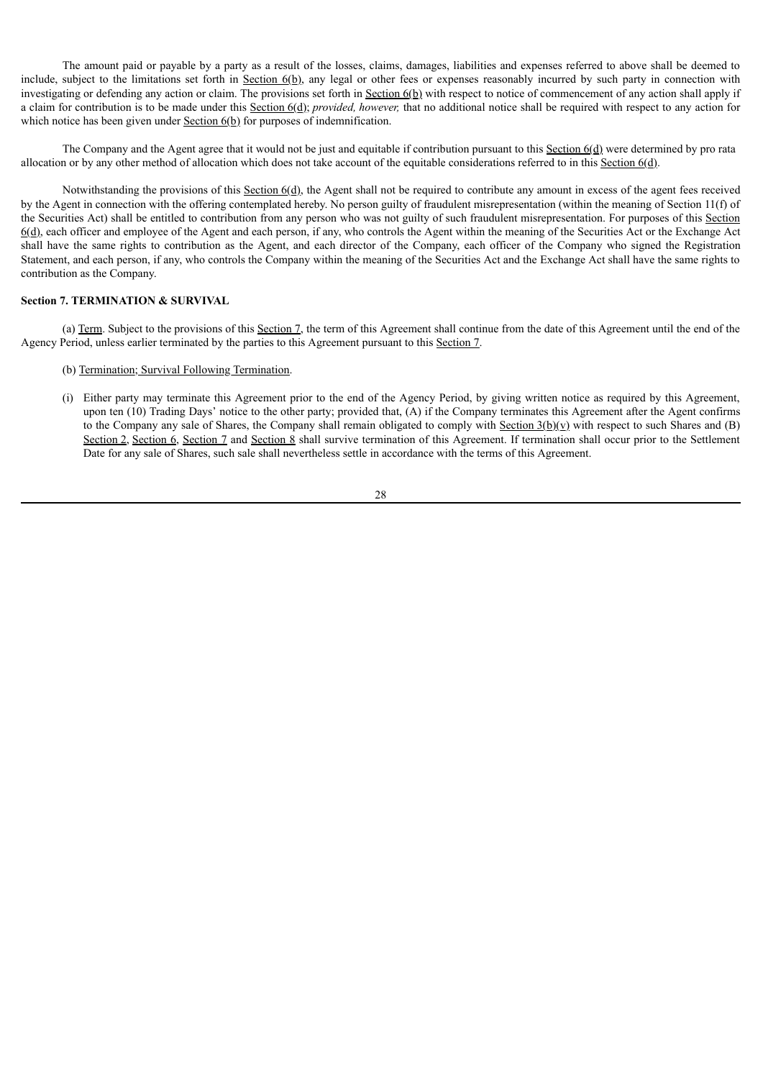The amount paid or payable by a party as a result of the losses, claims, damages, liabilities and expenses referred to above shall be deemed to include, subject to the limitations set forth in Section 6(b), any legal or other fees or expenses reasonably incurred by such party in connection with investigating or defending any action or claim. The provisions set forth in Section 6(b) with respect to notice of commencement of any action shall apply if a claim for contribution is to be made under this Section 6(d); *provided, however,* that no additional notice shall be required with respect to any action for which notice has been given under  $Section 6(b)$  for purposes of indemnification.

The Company and the Agent agree that it would not be just and equitable if contribution pursuant to this Section 6(d) were determined by pro rata allocation or by any other method of allocation which does not take account of the equitable considerations referred to in this Section 6(d).

Notwithstanding the provisions of this  $Section 6(d)$ , the Agent shall not be required to contribute any amount in excess of the agent fees received by the Agent in connection with the offering contemplated hereby. No person guilty of fraudulent misrepresentation (within the meaning of Section 11(f) of the Securities Act) shall be entitled to contribution from any person who was not guilty of such fraudulent misrepresentation. For purposes of this Section 6(d), each officer and employee of the Agent and each person, if any, who controls the Agent within the meaning of the Securities Act or the Exchange Act shall have the same rights to contribution as the Agent, and each director of the Company, each officer of the Company who signed the Registration Statement, and each person, if any, who controls the Company within the meaning of the Securities Act and the Exchange Act shall have the same rights to contribution as the Company.

# **Section 7. TERMINATION & SURVIVAL**

(a) Term. Subject to the provisions of this Section 7, the term of this Agreement shall continue from the date of this Agreement until the end of the Agency Period, unless earlier terminated by the parties to this Agreement pursuant to this Section 7.

- (b) Termination; Survival Following Termination.
- (i) Either party may terminate this Agreement prior to the end of the Agency Period, by giving written notice as required by this Agreement, upon ten (10) Trading Days' notice to the other party; provided that, (A) if the Company terminates this Agreement after the Agent confirms to the Company any sale of Shares, the Company shall remain obligated to comply with Section  $3(b)(v)$  with respect to such Shares and (B) Section 2, Section 6, Section 7 and Section 8 shall survive termination of this Agreement. If termination shall occur prior to the Settlement Date for any sale of Shares, such sale shall nevertheless settle in accordance with the terms of this Agreement.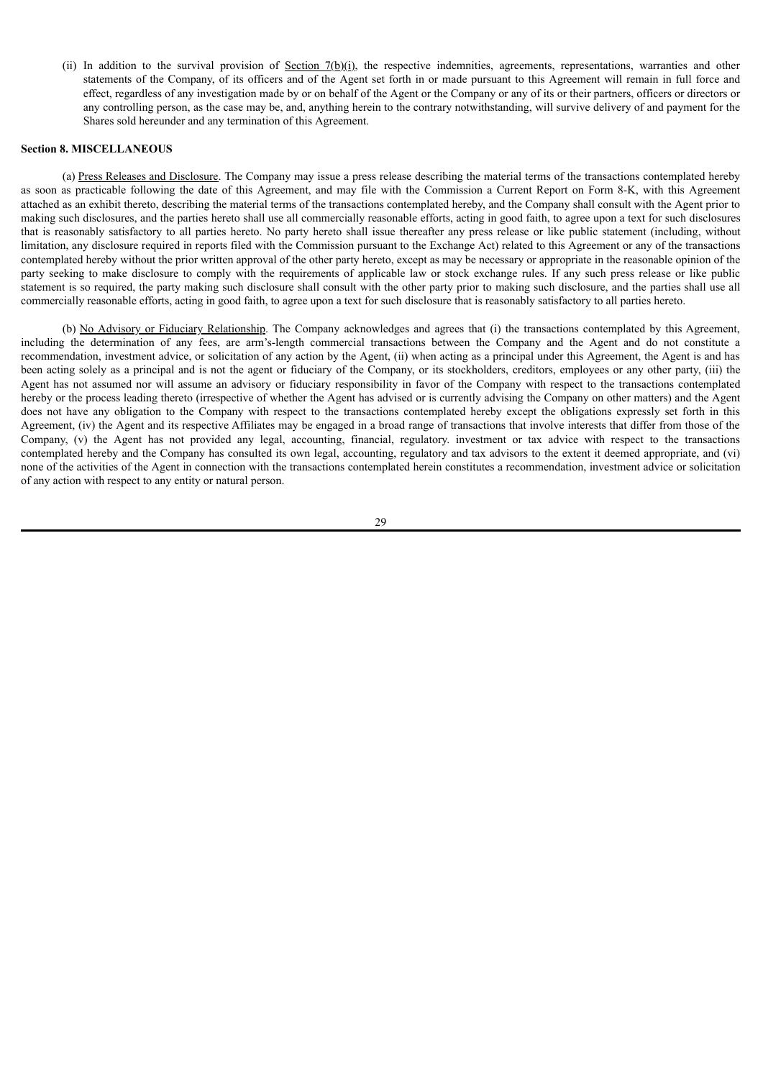(ii) In addition to the survival provision of Section 7(b)(i), the respective indemnities, agreements, representations, warranties and other statements of the Company, of its officers and of the Agent set forth in or made pursuant to this Agreement will remain in full force and effect, regardless of any investigation made by or on behalf of the Agent or the Company or any of its or their partners, officers or directors or any controlling person, as the case may be, and, anything herein to the contrary notwithstanding, will survive delivery of and payment for the Shares sold hereunder and any termination of this Agreement.

### **Section 8. MISCELLANEOUS**

(a) Press Releases and Disclosure. The Company may issue a press release describing the material terms of the transactions contemplated hereby as soon as practicable following the date of this Agreement, and may file with the Commission a Current Report on Form 8-K, with this Agreement attached as an exhibit thereto, describing the material terms of the transactions contemplated hereby, and the Company shall consult with the Agent prior to making such disclosures, and the parties hereto shall use all commercially reasonable efforts, acting in good faith, to agree upon a text for such disclosures that is reasonably satisfactory to all parties hereto. No party hereto shall issue thereafter any press release or like public statement (including, without limitation, any disclosure required in reports filed with the Commission pursuant to the Exchange Act) related to this Agreement or any of the transactions contemplated hereby without the prior written approval of the other party hereto, except as may be necessary or appropriate in the reasonable opinion of the party seeking to make disclosure to comply with the requirements of applicable law or stock exchange rules. If any such press release or like public statement is so required, the party making such disclosure shall consult with the other party prior to making such disclosure, and the parties shall use all commercially reasonable efforts, acting in good faith, to agree upon a text for such disclosure that is reasonably satisfactory to all parties hereto.

(b) No Advisory or Fiduciary Relationship. The Company acknowledges and agrees that (i) the transactions contemplated by this Agreement, including the determination of any fees, are arm's-length commercial transactions between the Company and the Agent and do not constitute a recommendation, investment advice, or solicitation of any action by the Agent, (ii) when acting as a principal under this Agreement, the Agent is and has been acting solely as a principal and is not the agent or fiduciary of the Company, or its stockholders, creditors, employees or any other party, (iii) the Agent has not assumed nor will assume an advisory or fiduciary responsibility in favor of the Company with respect to the transactions contemplated hereby or the process leading thereto (irrespective of whether the Agent has advised or is currently advising the Company on other matters) and the Agent does not have any obligation to the Company with respect to the transactions contemplated hereby except the obligations expressly set forth in this Agreement, (iv) the Agent and its respective Affiliates may be engaged in a broad range of transactions that involve interests that differ from those of the Company, (v) the Agent has not provided any legal, accounting, financial, regulatory. investment or tax advice with respect to the transactions contemplated hereby and the Company has consulted its own legal, accounting, regulatory and tax advisors to the extent it deemed appropriate, and (vi) none of the activities of the Agent in connection with the transactions contemplated herein constitutes a recommendation, investment advice or solicitation of any action with respect to any entity or natural person.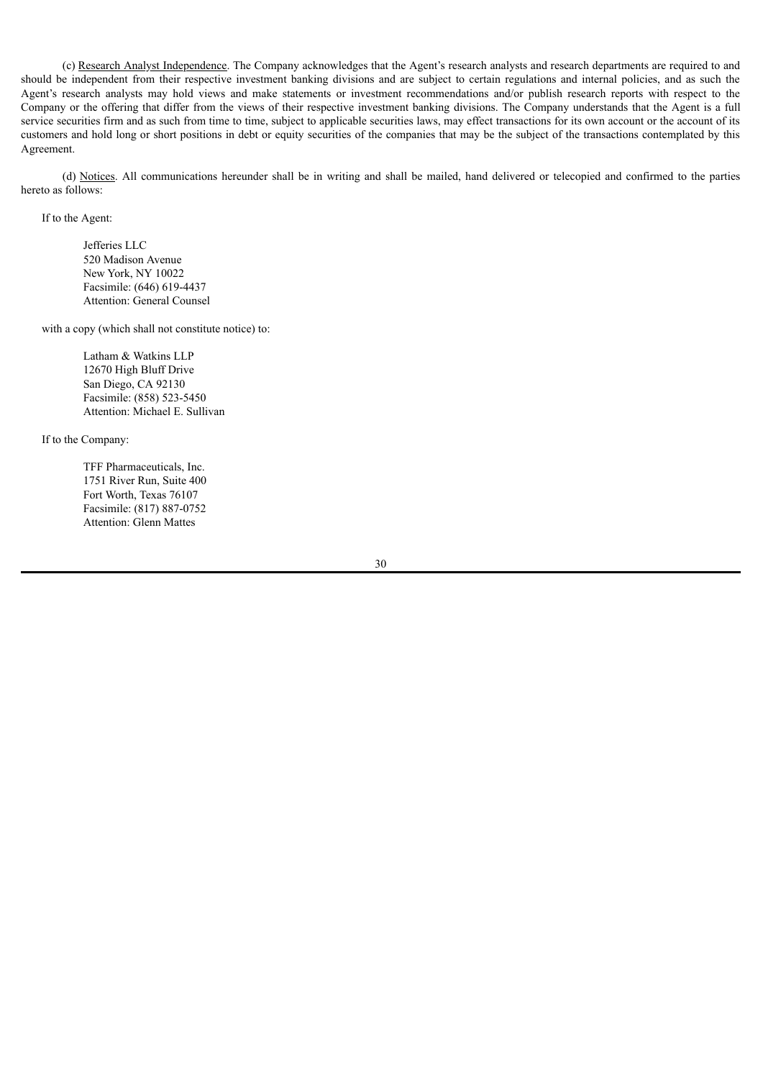(c) Research Analyst Independence. The Company acknowledges that the Agent's research analysts and research departments are required to and should be independent from their respective investment banking divisions and are subject to certain regulations and internal policies, and as such the Agent's research analysts may hold views and make statements or investment recommendations and/or publish research reports with respect to the Company or the offering that differ from the views of their respective investment banking divisions. The Company understands that the Agent is a full service securities firm and as such from time to time, subject to applicable securities laws, may effect transactions for its own account or the account of its customers and hold long or short positions in debt or equity securities of the companies that may be the subject of the transactions contemplated by this Agreement.

(d) Notices. All communications hereunder shall be in writing and shall be mailed, hand delivered or telecopied and confirmed to the parties hereto as follows:

If to the Agent:

Jefferies LLC 520 Madison Avenue New York, NY 10022 Facsimile: (646) 619-4437 Attention: General Counsel

with a copy (which shall not constitute notice) to:

Latham & Watkins LLP 12670 High Bluff Drive San Diego, CA 92130 Facsimile: (858) 523-5450 Attention: Michael E. Sullivan

If to the Company:

TFF Pharmaceuticals, Inc. 1751 River Run, Suite 400 Fort Worth, Texas 76107 Facsimile: (817) 887-0752 Attention: Glenn Mattes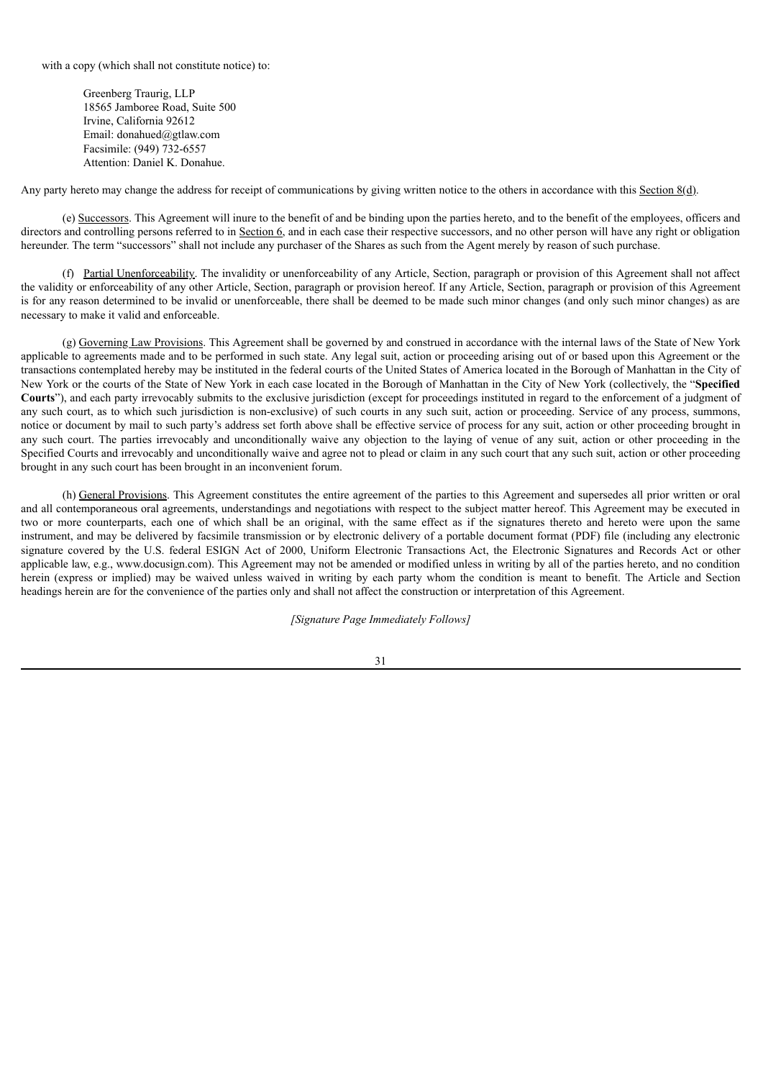with a copy (which shall not constitute notice) to:

Greenberg Traurig, LLP 18565 Jamboree Road, Suite 500 Irvine, California 92612 Email: donahued@gtlaw.com Facsimile: (949) 732-6557 Attention: Daniel K. Donahue.

Any party hereto may change the address for receipt of communications by giving written notice to the others in accordance with this Section 8(d).

(e) Successors. This Agreement will inure to the benefit of and be binding upon the parties hereto, and to the benefit of the employees, officers and directors and controlling persons referred to in Section 6, and in each case their respective successors, and no other person will have any right or obligation hereunder. The term "successors" shall not include any purchaser of the Shares as such from the Agent merely by reason of such purchase.

(f) Partial Unenforceability. The invalidity or unenforceability of any Article, Section, paragraph or provision of this Agreement shall not affect the validity or enforceability of any other Article, Section, paragraph or provision hereof. If any Article, Section, paragraph or provision of this Agreement is for any reason determined to be invalid or unenforceable, there shall be deemed to be made such minor changes (and only such minor changes) as are necessary to make it valid and enforceable.

(g) Governing Law Provisions. This Agreement shall be governed by and construed in accordance with the internal laws of the State of New York applicable to agreements made and to be performed in such state. Any legal suit, action or proceeding arising out of or based upon this Agreement or the transactions contemplated hereby may be instituted in the federal courts of the United States of America located in the Borough of Manhattan in the City of New York or the courts of the State of New York in each case located in the Borough of Manhattan in the City of New York (collectively, the "**Specified Courts**"), and each party irrevocably submits to the exclusive jurisdiction (except for proceedings instituted in regard to the enforcement of a judgment of any such court, as to which such jurisdiction is non-exclusive) of such courts in any such suit, action or proceeding. Service of any process, summons, notice or document by mail to such party's address set forth above shall be effective service of process for any suit, action or other proceeding brought in any such court. The parties irrevocably and unconditionally waive any objection to the laying of venue of any suit, action or other proceeding in the Specified Courts and irrevocably and unconditionally waive and agree not to plead or claim in any such court that any such suit, action or other proceeding brought in any such court has been brought in an inconvenient forum.

(h) General Provisions. This Agreement constitutes the entire agreement of the parties to this Agreement and supersedes all prior written or oral and all contemporaneous oral agreements, understandings and negotiations with respect to the subject matter hereof. This Agreement may be executed in two or more counterparts, each one of which shall be an original, with the same effect as if the signatures thereto and hereto were upon the same instrument, and may be delivered by facsimile transmission or by electronic delivery of a portable document format (PDF) file (including any electronic signature covered by the U.S. federal ESIGN Act of 2000, Uniform Electronic Transactions Act, the Electronic Signatures and Records Act or other applicable law, e.g., www.docusign.com). This Agreement may not be amended or modified unless in writing by all of the parties hereto, and no condition herein (express or implied) may be waived unless waived in writing by each party whom the condition is meant to benefit. The Article and Section headings herein are for the convenience of the parties only and shall not affect the construction or interpretation of this Agreement.

*[Signature Page Immediately Follows]*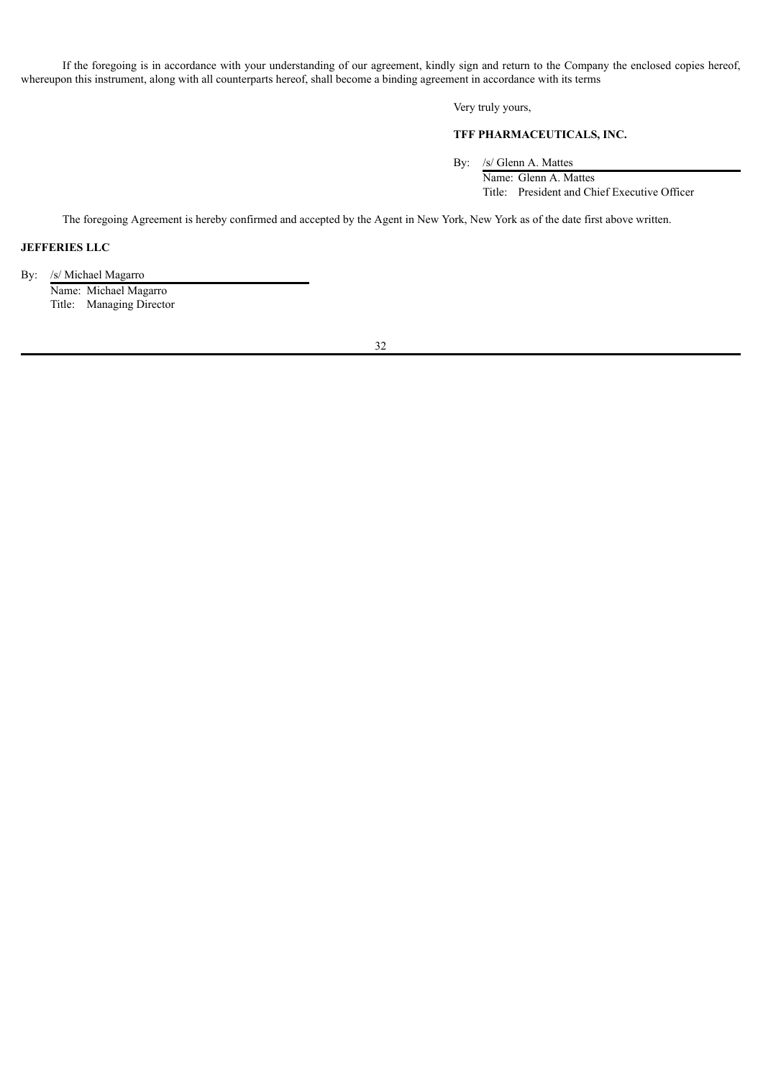If the foregoing is in accordance with your understanding of our agreement, kindly sign and return to the Company the enclosed copies hereof, whereupon this instrument, along with all counterparts hereof, shall become a binding agreement in accordance with its terms

Very truly yours,

# **TFF PHARMACEUTICALS, INC.**

By: /s/ Glenn A. Mattes

Name: Glenn A. Mattes Title: President and Chief Executive Officer

The foregoing Agreement is hereby confirmed and accepted by the Agent in New York, New York as of the date first above written.

# **JEFFERIES LLC**

By: /s/ Michael Magarro Name: Michael Magarro Title: Managing Director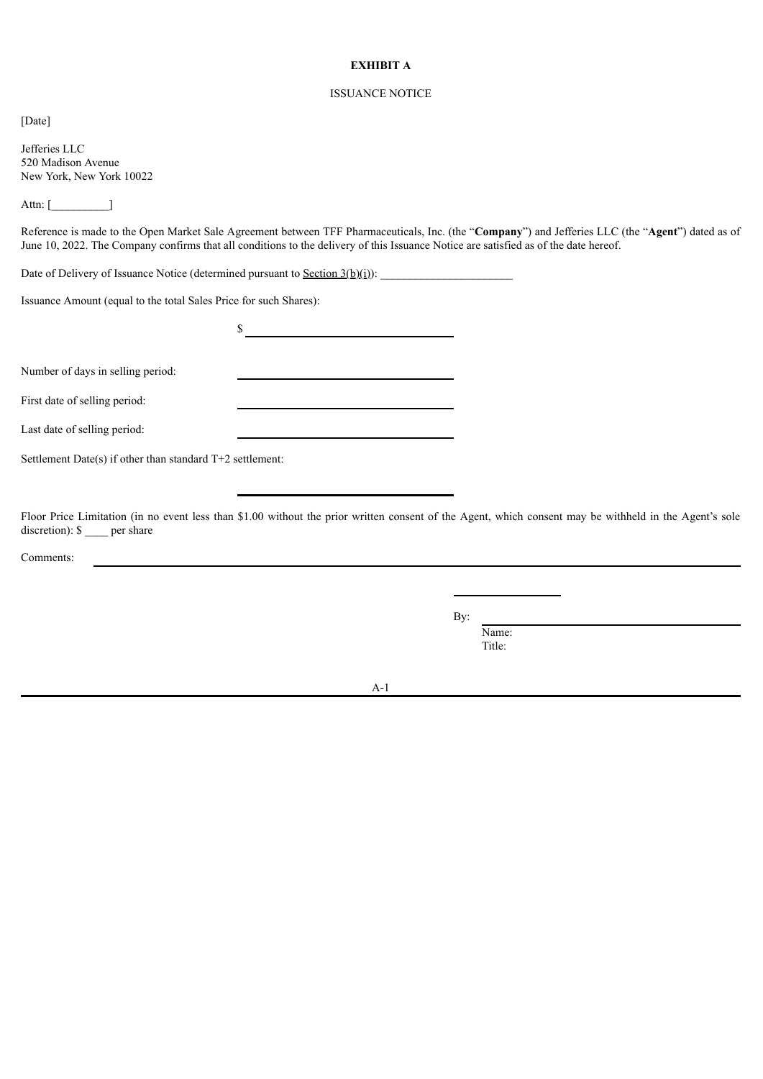# **EXHIBIT A**

# ISSUANCE NOTICE

[Date]

Jefferies LLC 520 Madison Avenue New York, New York 10022

Attn: [\_\_\_\_\_\_\_\_\_\_]

Reference is made to the Open Market Sale Agreement between TFF Pharmaceuticals, Inc. (the "**Company**") and Jefferies LLC (the "**Agent**") dated as of June 10, 2022. The Company confirms that all conditions to the delivery of this Issuance Notice are satisfied as of the date hereof.

 $\sim$ 

Date of Delivery of Issuance Notice (determined pursuant to <u>Section  $3(b)(i)$ </u>):

Issuance Amount (equal to the total Sales Price for such Shares):

Number of days in selling period:

First date of selling period:

Last date of selling period:

Settlement Date(s) if other than standard T+2 settlement:

Floor Price Limitation (in no event less than \$1.00 without the prior written consent of the Agent, which consent may be withheld in the Agent's sole discretion):  $\frac{1}{2}$  per share

Comments:

By:

Name: Title:

A-1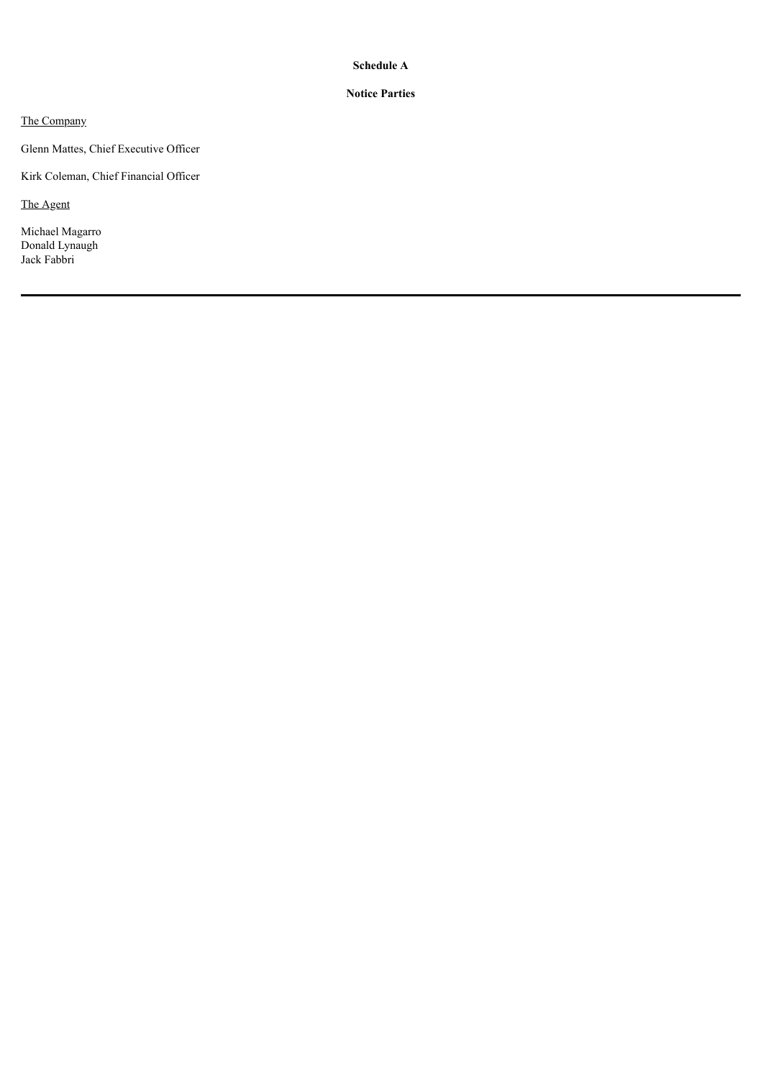# **Schedule A**

# **Notice Parties**

The Company

Glenn Mattes, Chief Executive Officer

Kirk Coleman, Chief Financial Officer

The Agent

Michael Magarro Donald Lynaugh Jack Fabbri